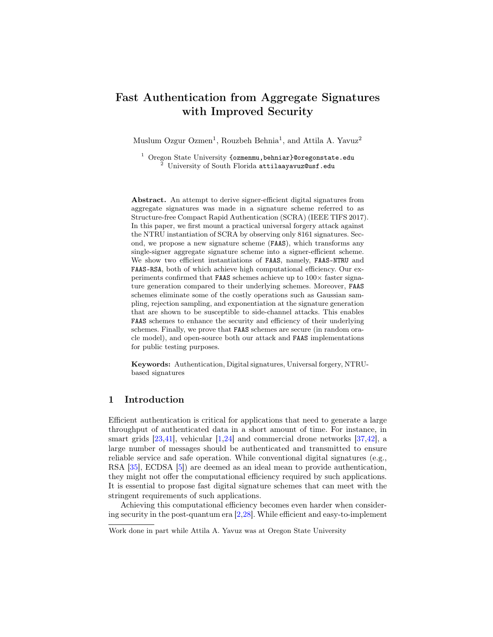# Fast Authentication from Aggregate Signatures with Improved Security

Muslum Ozgur Ozmen<sup>1</sup>, Rouzbeh Behnia<sup>1</sup>, and Attila A. Yavuz<sup>2</sup>

 $^1$  Oregon State University  $\{$ ozmenmu, behniar}@oregonstate.edu <sup>2</sup> University of South Florida attilaayavuz@usf.edu

Abstract. An attempt to derive signer-efficient digital signatures from aggregate signatures was made in a signature scheme referred to as Structure-free Compact Rapid Authentication (SCRA) (IEEE TIFS 2017). In this paper, we first mount a practical universal forgery attack against the NTRU instantiation of SCRA by observing only 8161 signatures. Second, we propose a new signature scheme (FAAS), which transforms any single-signer aggregate signature scheme into a signer-efficient scheme. We show two efficient instantiations of FAAS, namely, FAAS-NTRU and FAAS-RSA, both of which achieve high computational efficiency. Our experiments confirmed that FAAS schemes achieve up to  $100\times$  faster signature generation compared to their underlying schemes. Moreover, FAAS schemes eliminate some of the costly operations such as Gaussian sampling, rejection sampling, and exponentiation at the signature generation that are shown to be susceptible to side-channel attacks. This enables FAAS schemes to enhance the security and efficiency of their underlying schemes. Finally, we prove that FAAS schemes are secure (in random oracle model), and open-source both our attack and FAAS implementations for public testing purposes.

Keywords: Authentication, Digital signatures, Universal forgery, NTRUbased signatures

# 1 Introduction

Efficien[t](#page-0-0) authentication is critical for applications that need to generate a large throughput of authenticated data in a short amount of time. For instance, in smart grids  $[23,41]$  $[23,41]$ , vehicular  $[1,24]$  $[1,24]$  and commercial drone networks  $[37,42]$  $[37,42]$ , a large number of messages should be authenticated and transmitted to ensure reliable service and safe operation. While conventional digital signatures (e.g., RSA [\[35\]](#page-17-3), ECDSA [\[5\]](#page-15-1)) are deemed as an ideal mean to provide authentication, they might not offer the computational efficiency required by such applications. It is essential to propose fast digital signature schemes that can meet with the stringent requirements of such applications.

Achieving this computational efficiency becomes even harder when considering security in the post-quantum era [\[2,](#page-15-2)[28\]](#page-16-2). While efficient and easy-to-implement

<span id="page-0-0"></span>Work done in part while Attila A. Yavuz was at Oregon State University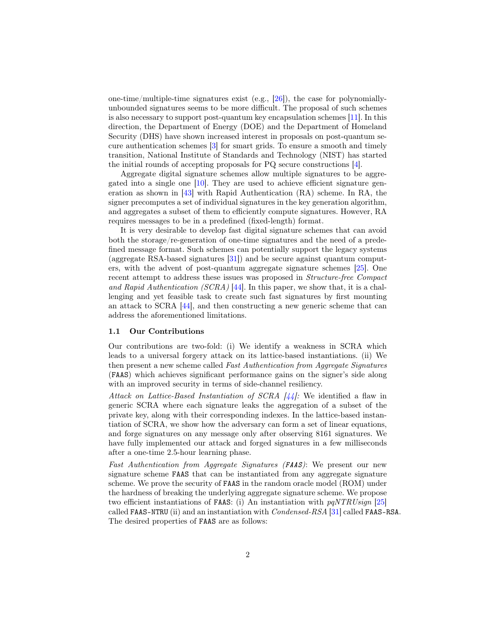one-time/multiple-time signatures exist (e.g., [\[26\]](#page-16-3)), the case for polynomiallyunbounded signatures seems to be more difficult. The proposal of such schemes is also necessary to support post-quantum key encapsulation schemes [\[11\]](#page-15-3). In this direction, the Department of Energy (DOE) and the Department of Homeland Security (DHS) have shown increased interest in proposals on post-quantum secure authentication schemes [\[3\]](#page-15-4) for smart grids. To ensure a smooth and timely transition, National Institute of Standards and Technology (NIST) has started the initial rounds of accepting proposals for PQ secure constructions [\[4\]](#page-15-5).

Aggregate digital signature schemes allow multiple signatures to be aggregated into a single one [\[10\]](#page-15-6). They are used to achieve efficient signature generation as shown in [\[43\]](#page-17-4) with Rapid Authentication (RA) scheme. In RA, the signer precomputes a set of individual signatures in the key generation algorithm, and aggregates a subset of them to efficiently compute signatures. However, RA requires messages to be in a predefined (fixed-length) format.

It is very desirable to develop fast digital signature schemes that can avoid both the storage/re-generation of one-time signatures and the need of a predefined message format. Such schemes can potentially support the legacy systems (aggregate RSA-based signatures [\[31\]](#page-16-4)) and be secure against quantum computers, with the advent of post-quantum aggregate signature schemes [\[25\]](#page-16-5). One recent attempt to address these issues was proposed in Structure-free Compact and Rapid Authentication (SCRA) [\[44\]](#page-17-5). In this paper, we show that, it is a challenging and yet feasible task to create such fast signatures by first mounting an attack to SCRA [\[44\]](#page-17-5), and then constructing a new generic scheme that can address the aforementioned limitations.

### 1.1 Our Contributions

Our contributions are two-fold: (i) We identify a weakness in SCRA which leads to a universal forgery attack on its lattice-based instantiations. (ii) We then present a new scheme called Fast Authentication from Aggregate Signatures (FAAS) which achieves significant performance gains on the signer's side along with an improved security in terms of side-channel resiliency.

Attack on Lattice-Based Instantiation of SCRA  $\frac{1}{4}$ : We identified a flaw in generic SCRA where each signature leaks the aggregation of a subset of the private key, along with their corresponding indexes. In the lattice-based instantiation of SCRA, we show how the adversary can form a set of linear equations, and forge signatures on any message only after observing 8161 signatures. We have fully implemented our attack and forged signatures in a few milliseconds after a one-time 2.5-hour learning phase.

Fast Authentication from Aggregate Signatures (FAAS): We present our new signature scheme FAAS that can be instantiated from any aggregate signature scheme. We prove the security of FAAS in the random oracle model (ROM) under the hardness of breaking the underlying aggregate signature scheme. We propose two efficient instantiations of FAAS: (i) An instantiation with  $pqNTRUsingn$  [\[25\]](#page-16-5) called FAAS-NTRU (ii) and an instantiation with Condensed-RSA [\[31\]](#page-16-4) called FAAS-RSA. The desired properties of FAAS are as follows: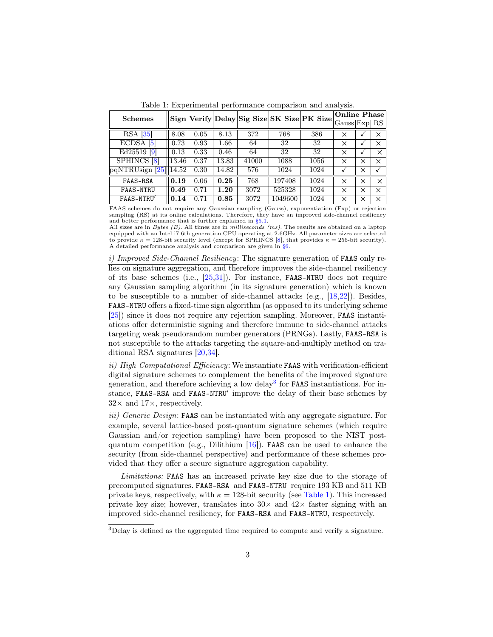<span id="page-2-1"></span>

| <b>Schemes</b>         |       |      |          |       |         | Sign Verify Delay Sig Size SK Size PK Size | Online Phase     |   |          |
|------------------------|-------|------|----------|-------|---------|--------------------------------------------|------------------|---|----------|
|                        |       |      |          |       |         |                                            | $Gauss$ Exp $RS$ |   |          |
| $RSA$ [35]             | 8.08  | 0.05 | 8.13     | 372   | 768     | 386                                        | X                | √ | X        |
| ECDSA <sup>[5]</sup>   | 0.73  | 0.93 | $1.66\,$ | 64    | 32      | 32                                         | X                | √ | ×        |
| Ed25519 [9]            | 0.13  | 0.33 | 0.46     | 64    | 32      | 32                                         | ×                |   | X        |
| <b>SPHINCS</b> [8]     | 13.46 | 0.37 | 13.83    | 41000 | 1088    | 1056                                       | ×                | × | ×        |
| pqNTRUsign [25]  14.52 |       | 0.30 | 14.82    | 576   | 1024    | 1024                                       |                  | × |          |
| FAAS-RSA               | 0.19  | 0.06 | 0.25     | 768   | 197408  | 1024                                       | $\times$         | × | $\times$ |
| <b>FAAS-NTRU</b>       | 0.49  | 0.71 | 1.20     | 3072  | 525328  | 1024                                       | $\times$         | × | ×        |
| FAAS-NTRU              | 0.14  | 0.71 | 0.85     | 3072  | 1049600 | 1024                                       | X                | × | ×        |

Table 1: Experimental performance comparison and analysis.

FAAS schemes do not require any Gaussian sampling (Gauss), exponentiation (Exp) or rejection sampling (RS) at its online calculations. Therefore, they have an improved side-channel resiliency and better performance that is further explained in [§5.1.](#page-11-0)

All sizes are in  $Bytes (B)$ . All times are in *milliseconds (ms)*. The results are obtained on a laptop equipped with an Intel i7 6th generation CPU operating at 2.6GHz. All parameter sizes are selected to provide  $κ = 128$ -bit security level (except for SPHINCS [\[8\]](#page-15-8), that provides  $κ = 256$ -bit security). A detailed performance analysis and comparison are given in [§6.](#page-11-1)

i) Improved Side-Channel Resiliency: The signature generation of FAAS only relies on signature aggregation, and therefore improves the side-channel resiliency of its base schemes (i.e., [\[25](#page-16-5)[,31\]](#page-16-4)). For instance, FAAS-NTRU does not require any Gaussian sampling algorithm (in its signature generation) which is known to be susceptible to a number of side-channel attacks (e.g., [\[18,](#page-16-6)[22\]](#page-16-7)). Besides, FAAS-NTRU offers a fixed-time sign algorithm (as opposed to its underlying scheme [\[25\]](#page-16-5)) since it does not require any rejection sampling. Moreover, FAAS instantiations offer deterministic signing and therefore immune to side-channel attacks targeting weak pseudorandom number generators (PRNGs). Lastly, FAAS-RSA is not susceptible to the attacks targeting the square-and-multiply method on traditional RSA signatures [\[20,](#page-16-8)[34\]](#page-17-6).

ii) High Computational Efficiency: We instantiate FAAS with verification-efficient digital signature schemes to complement the benefits of the improved signature generation, and therefore achieving a low delay<sup>[3](#page-2-0)</sup> for **FAAS** instantiations. For instance, FAAS-RSA and FAAS-NTRU' improve the delay of their base schemes by  $32\times$  and  $17\times$ , respectively.

iii) Generic Design: FAAS can be instantiated with any aggregate signature. For example, several lattice-based post-quantum signature schemes (which require Gaussian and/or rejection sampling) have been proposed to the NIST postquantum competition (e.g., Dilithium  $[16]$ ). FAAS can be used to enhance the security (from side-channel perspective) and performance of these schemes provided that they offer a secure signature aggregation capability.

Limitations: FAAS has an increased private key size due to the storage of precomputed signatures. FAAS-RSA and FAAS-NTRU require 193 KB and 511 KB private keys, respectively, with  $\kappa = 128$ -bit security (see [Table 1\)](#page-2-1). This increased private key size; however, translates into  $30\times$  and  $42\times$  faster signing with an improved side-channel resiliency, for FAAS-RSA and FAAS-NTRU, respectively.

<span id="page-2-0"></span><sup>&</sup>lt;sup>3</sup>Delay is defined as the aggregated time required to compute and verify a signature.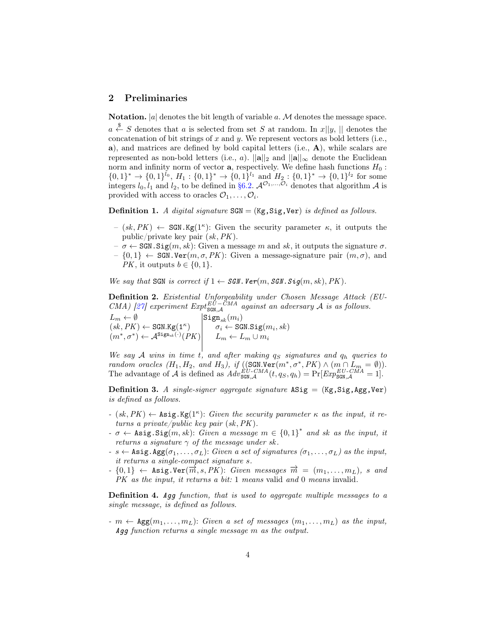# <span id="page-3-1"></span>2 Preliminaries

**Notation.**  $|a|$  denotes the bit length of variable a. M denotes the message space.

 $a \stackrel{\$}{\leftarrow} S$  denotes that a is selected from set S at random. In  $x||y, \parallel$  denotes the concatenation of bit strings of  $x$  and  $y$ . We represent vectors as bold letters (i.e., a), and matrices are defined by bold capital letters (i.e.,  $\bf{A}$ ), while scalars are represented as non-bold letters (i.e., a).  $||\mathbf{a}||_2$  and  $||\mathbf{a}||_{\infty}$  denote the Euclidean norm and infinity norm of vector  $a$ , respectively. We define hash functions  $H_0$ :  $\{0,1\}^* \to \{0,1\}^{l_0}, H_1: \{0,1\}^* \to \{0,1\}^{l_1}$  and  $H_2: \{0,1\}^* \to \{0,1\}^{l_2}$  for some integers  $l_0, l_1$  and  $l_2$ , to be defined in [§6.2.](#page-12-0)  $\mathcal{A}^{\mathcal{O}_1,\dots,\mathcal{O}_i}$  denotes that algorithm  $\mathcal A$  is provided with access to oracles  $\mathcal{O}_1, \ldots, \mathcal{O}_i$ .

**Definition 1.** A digital signature  $\text{SGN} = (\text{Kg}, \text{Sig}, \text{Ver})$  is defined as follows.

- $(sk, PK) \leftarrow$  SGN.Kg(1<sup> $\kappa$ </sup>): Given the security parameter  $\kappa$ , it outputs the public/private key pair  $(sk, PK)$ .
- $-\sigma \leftarrow$  SGN. Sig $(m, sk)$ : Given a message m and sk, it outputs the signature  $\sigma$ .
- $\{0,1\} \leftarrow \text{SGN.Ver}(m, \sigma, PK)$ : Given a message-signature pair  $(m, \sigma)$ , and *PK*, it outputs  $b \in \{0, 1\}$ .

We say that SGN is correct if  $1 \leftarrow \text{SGN.}$  Ver $(m, \text{SGN.}$  Sig $(m, sk), PK)$ .

<span id="page-3-0"></span>Definition 2. Existential Unforgeability under Chosen Message Attack (EU-CMA) [\[27\]](#page-16-9) experiment  $Expt_{SGN,A}^{EU-CMA}$  against an adversary A is as follows.

 $L_m \leftarrow \emptyset$  Sign<sub>sk</sub> $(m_i)$  $(sk, PK) \leftarrow \texttt{SGN.Kg}(1^{\kappa}) \quad \vert \quad \sigma_i \leftarrow \texttt{SGN.Sig}(m_i, sk)$  $(m^*, \sigma^*) \leftarrow \mathcal{A}^{\texttt{Sign}_{sk}(\cdot)}(PK) \Big| \hspace{5mm} L_m \leftarrow L_m \cup m_i$ 

We say A wins in time t, and after making  $q_S$  signatures and  $q_h$  queries to random oracles  $(H_1, H_2, \text{ and } H_3)$ , if  $((\text{SGN.Ver}(m^*, \sigma^*, PK) \wedge (m \cap L_m = \emptyset)).$ The advantage of A is defined as  $Adv_{SGN, \mathcal{A}}^{EU-CMA}(t, q_S, q_h) = Pr[Exp_{SGN, \mathcal{A}}^{EU-CMA} = 1].$ 

**Definition 3.** A single-signer aggregate signature  $ASig = (Kg, Sig, Agg, Ver)$ is defined as follows.

- $(sk, PK) \leftarrow$  Asig.Kg(1<sup> $\kappa$ </sup>): Given the security parameter  $\kappa$  as the input, it returns a private/public key pair (sk,PK).
- $-\sigma \leftarrow \texttt{Asig.Sig}(m, sk)$ : Given a message  $m \in \{0, 1\}^*$  and sk as the input, it returns a signature  $\gamma$  of the message under sk.
- $s \leftarrow$  Asig. Agg( $\sigma_1, \ldots, \sigma_L$ ): Given a set of signatures ( $\sigma_1, \ldots, \sigma_L$ ) as the input, it returns a single-compact signature s.
- $\{0,1\} \leftarrow$  Asig.Ver( $\overline{m}$ , s, PK): Given messages  $\overrightarrow{m} = (m_1, \ldots, m_L)$ , s and PK as the input, it returns a bit: 1 means valid and 0 means invalid.

Definition 4. Agg function, that is used to aggregate multiple messages to a single message, is defined as follows.

 $-m \leftarrow \text{Agg}(m_1, \ldots, m_L)$ : Given a set of messages  $(m_1, \ldots, m_L)$  as the input, Agg function returns a single message m as the output.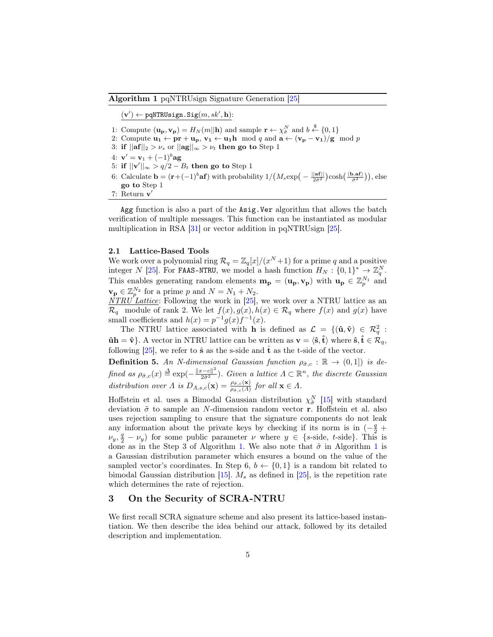<span id="page-4-0"></span>Algorithm 1 pqNTRUsign Signature Generation [\[25\]](#page-16-5)

 $(v') \leftarrow \text{pqNTRUsingn.Sig}(m, sk', h):$ 

- 1: Compute  $(\mathbf{u_p}, \mathbf{v_p}) = H_N(m||\mathbf{h})$  and sample  $\mathbf{r} \leftarrow \chi^N_{\tilde{\sigma}}$  and  $b \stackrel{\$}{\leftarrow} \{0, 1\}$
- 2: Compute  $\mathbf{u}_1 \leftarrow \mathbf{pr} + \mathbf{u}_p$ ,  $\mathbf{v}_1 \leftarrow \mathbf{u}_1 \mathbf{h} \mod q$  and  $\mathbf{a} \leftarrow (\mathbf{v}_p \mathbf{v}_1)/g \mod p$
- 3: if  $||\mathbf{af}||_2 > \nu_s$  or  $||\mathbf{ag}||_{\infty} > \nu_t$  then go to Step 1
- 4:  ${\bf v}'={\bf v}_1+(-1)^b{\bf ag}$
- 5: if  $||\mathbf{v}'||_{\infty} > q/2 B_t$  then go to Step 1
- 6: Calculate  $\mathbf{b} = (\mathbf{r} + (-1)^b \mathbf{a} \mathbf{f})$  with probability  $1/(M_s \exp(-\frac{||\mathbf{a} \mathbf{f}||}{\partial \hat{\sigma}^2}) \cosh(\frac{\langle \mathbf{b}, \mathbf{a} \mathbf{f} \rangle}{\partial \hat{\sigma}^2}))$ , else go to Step 1
- 7: Return v'

Agg function is also a part of the Asig.Ver algorithm that allows the batch verification of multiple messages. This function can be instantiated as modular multiplication in RSA [\[31\]](#page-16-4) or vector addition in pqNTRUsign [\[25\]](#page-16-5).

### 2.1 Lattice-Based Tools

We work over a polynomial ring  $\mathcal{R}_q = \mathbb{Z}_q[x]/(x^N+1)$  for a prime q and a positive integer N [\[25\]](#page-16-5). For FAAS-NTRU, we model a hash function  $H_N: \{0,1\}^* \to \mathbb{Z}_q^N$ . This enables generating random elements  $\mathbf{m}_{\mathbf{p}} = (\mathbf{u}_{\mathbf{p}}, \mathbf{v}_{\mathbf{p}})$  with  $\mathbf{u}_{\mathbf{p}} \in \mathbb{Z}_{p}^{N_1}$  and  $\mathbf{v_p} \in \mathbb{Z}_p^{N_2}$  for a prime p and  $N = N_1 + N_2$ .

 $\overline{NTRU}$  *Lattice*: Following the work in [\[25\]](#page-16-5), we work over a NTRU lattice as an  $\mathcal{R}_q$  module of rank 2. We let  $f(x), g(x), h(x) \in \mathcal{R}_q$  where  $f(x)$  and  $g(x)$  have small coefficients and  $h(x) = p^{-1}g(x)f^{-1}(x)$ .

The NTRU lattice associated with **h** is defined as  $\mathcal{L} = \{(\hat{\mathbf{u}}, \hat{\mathbf{v}}) \in \mathcal{R}_q^2 :$  $\hat{\mathbf{u}}$ h =  $\hat{\mathbf{v}}$ . A vector in NTRU lattice can be written as  $\mathbf{v} = \langle \hat{\mathbf{s}}, \hat{\mathbf{t}} \rangle$  where  $\hat{\mathbf{s}}, \hat{\mathbf{t}} \in \mathcal{R}_q$ , following [\[25\]](#page-16-5), we refer to  $\hat{\mathbf{s}}$  as the s-side and  $\hat{\mathbf{t}}$  as the t-side of the vector.

**Definition 5.** An N-dimensional Gaussian function  $\rho_{\tilde{\sigma},c} : \mathbb{R} \to (0,1]$  is defined as  $\rho_{\tilde{\sigma},c}(x) \triangleq \exp(-\frac{||x-c||^2}{2\tilde{\sigma}^2})$ . Given a lattice  $\Lambda \subset \mathbb{R}^n$ , the discrete Gaussian distribution over  $\Lambda$  is  $D_{\Lambda,s,c}(\mathbf{x}) = \frac{\rho_{\tilde{\sigma},c}(\mathbf{x})}{\rho_{\tilde{\sigma},c}(\Lambda)}$  for all  $\mathbf{x} \in \Lambda$ .

Hoffstein et al. uses a Bimodal Gaussian distribution  $\chi^N_{\tilde{\sigma}}$  [\[15\]](#page-15-10) with standard deviation  $\tilde{\sigma}$  to sample an N-dimension random vector **r**. Hoffstein et al. also uses rejection sampling to ensure that the signature components do not leak any information about the private keys by checking if its norm is in  $(-\frac{q}{2} + \frac{q}{2})$  $\nu_y, \frac{q}{2} - \nu_y$ ) for some public parameter  $\nu$  where  $y \in \{s\text{-side}, t\text{-side}\}.$  This is done as in the Step 3 of Algorithm [1.](#page-4-0) We also note that  $\tilde{\sigma}$  in Algorithm [1](#page-4-0) is a Gaussian distribution parameter which ensures a bound on the value of the sampled vector's coordinates. In Step 6,  $b \leftarrow \{0,1\}$  is a random bit related to bimodal Gaussian distribution [\[15\]](#page-15-10).  $M_s$  as defined in [\[25\]](#page-16-5), is the repetition rate which determines the rate of rejection.

# <span id="page-4-1"></span>3 On the Security of SCRA-NTRU

We first recall SCRA signature scheme and also present its lattice-based instantiation. We then describe the idea behind our attack, followed by its detailed description and implementation.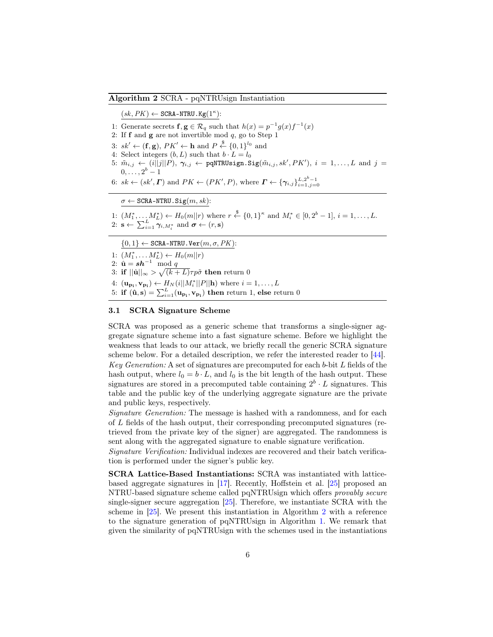## <span id="page-5-0"></span>Algorithm 2 SCRA - pqNTRUsign Instantiation

 $(sk, PK) \leftarrow \texttt{SCRA-NTRU.Kg}(1^{\kappa})$ :

- 1: Generate secrets  $f, g \in \mathcal{R}_q$  such that  $h(x) = p^{-1}g(x)f^{-1}(x)$
- 2: If  $f$  and  $g$  are not invertible mod  $q$ , go to Step 1
- 3:  $sk' \leftarrow (\mathbf{f}, \mathbf{g})$ ,  $PK' \leftarrow \mathbf{h}$  and  $P \stackrel{\$}{\leftarrow} \{0, 1\}^{l_0}$  and
- 4: Select integers  $(b, L)$  such that  $b \cdot L = l_0$
- 5:  $\tilde{m}_{i,j} \leftarrow (i||j||P), \ \boldsymbol{\gamma}_{i,j} \leftarrow \texttt{pqNTRUsingn.Sig}(\tilde{m}_{i,j}, sk', PK'), i = 1, \dots, L \text{ and } j = 1, \dots, L$  $0, \ldots, 2^b-1$
- 6:  $sk \leftarrow (sk', \Gamma)$  and  $PK \leftarrow (PK', P)$ , where  $\Gamma \leftarrow {\{\gamma_{i,j}\}}_{i=1,j=0}^{L, 2^b-1}$

 $\sigma \leftarrow \texttt{SCRA-NTRU}.\texttt{Sig}(m, sk)$ :

1:  $(M_1^*, \ldots M_L^*) \leftarrow H_0(m||r)$  where  $r \stackrel{\$}{\leftarrow} \{0,1\}^{\kappa}$  and  $M_i^* \in [0, 2^b - 1], i = 1, \ldots, L$ . 2:  $\mathbf{s} \leftarrow \sum_{i=1}^{L} \gamma_{i,M_i^*}$  and  $\boldsymbol{\sigma} \leftarrow (r, \mathbf{s})$ 

 $\{0,1\} \leftarrow \texttt{SCRA-NTRU}.\texttt{Ver}(m, \sigma, PK)$ : 1:  $(M_1^*, \ldots M_L^*) \leftarrow H_0(m||r)$ 2:  $\hat{\mathbf{u}} = s\mathbf{h}^{-1} \mod q$ 3: if  $||\hat{\mathbf{u}}||_{\infty} > \sqrt{(k+L)}\tau p\tilde{\sigma}$  then return 0 4:  $(\mathbf{u}_{\mathbf{p_i}}, \mathbf{v}_{\mathbf{p_i}}) \leftarrow H_N(i||M_i^*||P||\mathbf{h})$  where  $i = 1, \dots, L$ 5: if  $(\hat{\mathbf{u}}, \mathbf{s}) = \sum_{i=1}^{L} (\mathbf{u}_{\mathbf{p_i}}, \mathbf{v}_{\mathbf{p_i}})$  then return 1, else return 0

## 3.1 SCRA Signature Scheme

SCRA was proposed as a generic scheme that transforms a single-signer aggregate signature scheme into a fast signature scheme. Before we highlight the weakness that leads to our attack, we briefly recall the generic SCRA signature scheme below. For a detailed description, we refer the interested reader to [\[44\]](#page-17-5). Key Generation: A set of signatures are precomputed for each b-bit L fields of the

hash output, where  $l_0 = b \cdot L$ , and  $l_0$  is the bit length of the hash output. These signatures are stored in a precomputed table containing  $2^b \cdot L$  signatures. This table and the public key of the underlying aggregate signature are the private and public keys, respectively.

Signature Generation: The message is hashed with a randomness, and for each of L fields of the hash output, their corresponding precomputed signatures (retrieved from the private key of the signer) are aggregated. The randomness is sent along with the aggregated signature to enable signature verification.

Signature Verification: Individual indexes are recovered and their batch verification is performed under the signer's public key.

SCRA Lattice-Based Instantiations: SCRA was instantiated with latticebased aggregate signatures in [\[17\]](#page-16-10). Recently, Hoffstein et al. [\[25\]](#page-16-5) proposed an NTRU-based signature scheme called pqNTRUsign which offers provably secure single-signer secure aggregation [\[25\]](#page-16-5). Therefore, we instantiate SCRA with the scheme in [\[25\]](#page-16-5). We present this instantiation in Algorithm [2](#page-5-0) with a reference to the signature generation of pqNTRUsign in Algorithm [1.](#page-4-0) We remark that given the similarity of pqNTRUsign with the schemes used in the instantiations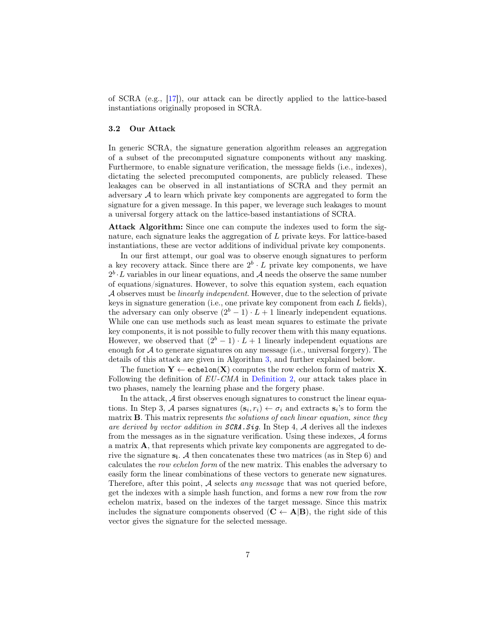of SCRA (e.g., [\[17\]](#page-16-10)), our attack can be directly applied to the lattice-based instantiations originally proposed in SCRA.

## 3.2 Our Attack

In generic SCRA, the signature generation algorithm releases an aggregation of a subset of the precomputed signature components without any masking. Furthermore, to enable signature verification, the message fields (i.e., indexes), dictating the selected precomputed components, are publicly released. These leakages can be observed in all instantiations of SCRA and they permit an adversary  $A$  to learn which private key components are aggregated to form the signature for a given message. In this paper, we leverage such leakages to mount a universal forgery attack on the lattice-based instantiations of SCRA.

Attack Algorithm: Since one can compute the indexes used to form the signature, each signature leaks the aggregation of L private keys. For lattice-based instantiations, these are vector additions of individual private key components.

In our first attempt, our goal was to observe enough signatures to perform a key recovery attack. Since there are  $2^b \cdot L$  private key components, we have  $2^b \cdot L$  variables in our linear equations, and A needs the observe the same number of equations/signatures. However, to solve this equation system, each equation A observes must be linearly independent. However, due to the selection of private keys in signature generation (i.e., one private key component from each L fields), the adversary can only observe  $(2<sup>b</sup> - 1) \cdot L + 1$  linearly independent equations. While one can use methods such as least mean squares to estimate the private key components, it is not possible to fully recover them with this many equations. However, we observed that  $(2<sup>b</sup> - 1) \cdot L + 1$  linearly independent equations are enough for  $A$  to generate signatures on any message (i.e., universal forgery). The details of this attack are given in Algorithm [3,](#page-7-0) and further explained below.

The function  $Y \leftarrow \text{echelon}(X)$  computes the row echelon form of matrix X. Following the definition of  $EU\text{-}CMA$  in [Definition 2,](#page-3-0) our attack takes place in two phases, namely the learning phase and the forgery phase.

In the attack,  $A$  first observes enough signatures to construct the linear equations. In Step 3, A parses signatures  $(\mathbf{s}_i, r_i) \leftarrow \sigma_i$  and extracts  $\mathbf{s}_i$ 's to form the matrix **B**. This matrix represents the solutions of each linear equation, since they are derived by vector addition in  $\mathcal{S}$ CRA. Sig. In Step 4, A derives all the indexes from the messages as in the signature verification. Using these indexes,  $A$  forms a matrix A, that represents which private key components are aggregated to derive the signature  $s_i$ . A then concatenates these two matrices (as in Step 6) and calculates the row echelon form of the new matrix. This enables the adversary to easily form the linear combinations of these vectors to generate new signatures. Therefore, after this point,  $A$  selects *any message* that was not queried before, get the indexes with a simple hash function, and forms a new row from the row echelon matrix, based on the indexes of the target message. Since this matrix includes the signature components observed  $(C \leftarrow A|B)$ , the right side of this vector gives the signature for the selected message.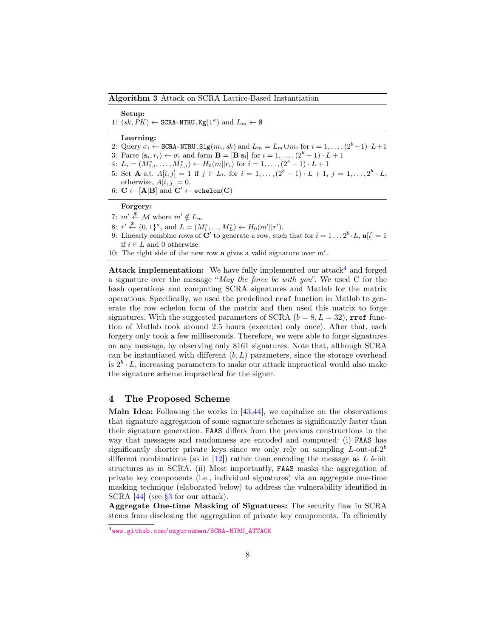#### <span id="page-7-0"></span>Algorithm 3 Attack on SCRA Lattice-Based Instantiation

#### Setup:

1:  $(sk, PK) \leftarrow \text{SCRA-NTRU.Kg}(1^{\kappa})$  and  $L_m \leftarrow \emptyset$ 

#### Learning:

- 2: Query  $\sigma_i \leftarrow \text{SCRA-NTRU}$ .  $\text{Sig}(m_i, sk)$  and  $L_m = L_m \cup m_i$  for  $i = 1, ..., (2^b 1) \cdot L + 1$
- 3: Parse  $(\mathbf{s}_i, r_i) \leftarrow \sigma_i$  and form  $\mathbf{B} = [\mathbf{B} | \mathbf{s}_i]$  for  $i = 1, \ldots, (2^b 1) \cdot L + 1$
- 4:  $L_i = (M_{1,i}^*, \ldots, M_{L,i}^*) \leftarrow H_0(m||r_i)$  for  $i = 1, \ldots, (2^b 1) \cdot L + 1$
- 5: Set **A** s.t.  $A[i, j] = 1$  if  $j \in L_i$ , for  $i = 1, ..., (2^b 1) \cdot L + 1$ ,  $j = 1, ..., 2^b \cdot L$ , otherwise,  $A[i, j] = 0$ .
- 6:  $C \leftarrow [A|B]$  and  $C' \leftarrow \text{echelon}(C)$

#### Forgery:

- 7:  $m' \stackrel{\$}{\leftarrow} M$  where  $m' \notin L_m$
- 8:  $r' \stackrel{\$}{\leftarrow} \{0,1\}^{\kappa}$ , and  $L = (M_1^*, \ldots M_L^*) \leftarrow H_0(m'||r')$ .
- 9: Linearly combine rows of C' to generate a row, such that for  $i = 1 \dots 2^b \cdot L$ ,  $a[i] = 1$ if  $i \in L$  and 0 otherwise.
- 10: The right side of the new row a gives a valid signature over  $m'$ .

**Attack implementation:** We have fully implemented our attack and forged a signature over the message "May the force be with you". We used  $C$  for the hash operations and computing SCRA signatures and Matlab for the matrix operations. Specifically, we used the predefined rref function in Matlab to generate the row echelon form of the matrix and then used this matrix to forge signatures. With the suggested parameters of SCRA ( $b = 8, L = 32$ ), rref function of Matlab took around 2.5 hours (executed only once). After that, each forgery only took a few milliseconds. Therefore, we were able to forge signatures on any message, by observing only 8161 signatures. Note that, although SCRA can be instantiated with different  $(b, L)$  parameters, since the storage overhead is  $2^b \cdot L$ , increasing parameters to make our attack impractical would also make the signature scheme impractical for the signer.

# <span id="page-7-2"></span>4 The Proposed Scheme

**Main Idea:** Following the works in  $[43, 44]$  $[43, 44]$  $[43, 44]$ , we capitalize on the observations that signature aggregation of some signature schemes is significantly faster than their signature generation. FAAS differs from the previous constructions in the way that messages and randomness are encoded and computed: (i) FAAS has significantly shorter private keys since we only rely on sampling  $L$ -out-of- $2^b$ different combinations (as in  $[12]$ ) rather than encoding the message as L b-bit structures as in SCRA. (ii) Most importantly, FAAS masks the aggregation of private key components (i.e., individual signatures) via an aggregate one-time masking technique (elaborated below) to address the vulnerability identified in SCRA [\[44\]](#page-17-5) (see [§3](#page-4-1) for our attack).

Aggregate One-time Masking of Signatures: The security flaw in SCRA stems from disclosing the aggregation of private key components. To efficiently

<span id="page-7-1"></span><sup>4</sup> [www.github.com/ozgurozmen/SCRA-NTRU\\_ATTACK](www.github.com/ozgurozmen/SCRA-NTRU_ATTACK)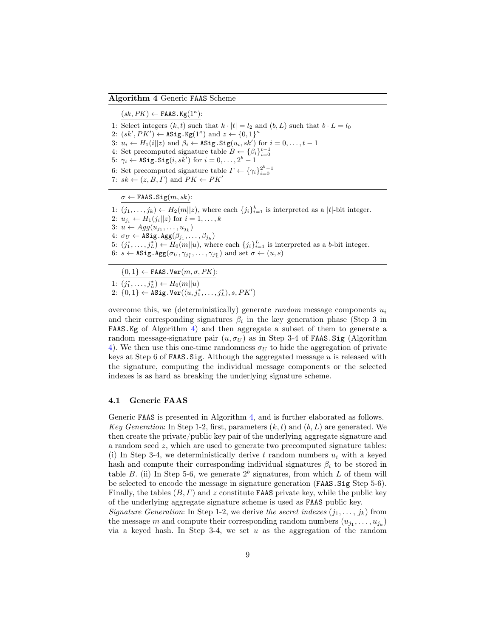#### <span id="page-8-0"></span>Algorithm 4 Generic FAAS Scheme

 $(sk, PK) \leftarrow$  FAAS. Kg( $1^{\kappa}$ ): 1: Select integers  $(k, t)$  such that  $k \cdot |t| = l_2$  and  $(b, L)$  such that  $b \cdot L = l_0$ 2:  $(sk', PK') \leftarrow \texttt{ASig.Kg}(1^{\kappa})$  and  $z \leftarrow \{0, 1\}^{\kappa}$ 3:  $u_i \leftarrow H_1(i||z)$  and  $\beta_i \leftarrow \texttt{ASig}. \texttt{Sig}(u_i, sk')$  for  $i = 0, \ldots, t - 1$ 4: Set precomputed signature table  $B \leftarrow {\{\beta_i\}}_{i=0}^{t-1}$ 5:  $\gamma_i \leftarrow \texttt{ASig}. \texttt{Sig}(i, sk') \text{ for } i = 0, \ldots, 2^b - 1$ 6: Set precomputed signature table  $\Gamma \leftarrow {\{\gamma_i\}}_{i=0}^{2^b-1}$ 7:  $sk \leftarrow (z, B, \Gamma)$  and  $PK \leftarrow PK'$  $\sigma \leftarrow$  FAAS. Sig $(m, sk)$ : 1:  $(j_1, \ldots, j_k) \leftarrow H_2(m||z)$ , where each  $\{j_i\}_{i=1}^k$  is interpreted as a |t|-bit integer. 2:  $u_{j_i} \leftarrow H_1(j_i||z)$  for  $i = 1, ..., k$ 3:  $u \leftarrow Agg(u_{j_1}, \ldots, u_{j_k})$ 4:  $\sigma_U \leftarrow \texttt{ASig}. \texttt{Agg}(\beta_{j_1}, \dots, \beta_{j_k})$ 5:  $(j_1^*, \ldots, j_L^*) \leftarrow H_0(m||u)$ , where each  $\{j_i\}_{i=1}^L$  is interpreted as a b-bit integer. 6:  $s \leftarrow \texttt{ASig}. \texttt{Agg}(\sigma_U, \gamma_{j_1^*}, \dots, \gamma_{j_L^*})$  and set  $\sigma \leftarrow (u, s)$ 

 ${0,1} \leftarrow$  FAAS. Ver $(m, \sigma, PK)$ : 1:  $(j_1^*, \ldots, j_L^*) \leftarrow H_0(m||u)$ 2:  $\{0,1\} \leftarrow \texttt{ASig.Ver}(\langle u, j_1^*, \ldots, j_L^* \rangle, s, PK')$ 

overcome this, we (deterministically) generate  $random$  message components  $u_i$ and their corresponding signatures  $\beta_i$  in the key generation phase (Step 3 in FAAS.Kg of Algorithm [4\)](#page-8-0) and then aggregate a subset of them to generate a random message-signature pair  $(u, \sigma_U)$  as in Step 3-4 of FAAS. Sig (Algorithm [4\)](#page-8-0). We then use this one-time randomness  $\sigma_U$  to hide the aggregation of private keys at Step 6 of FAAS. Sig. Although the aggregated message  $u$  is released with the signature, computing the individual message components or the selected indexes is as hard as breaking the underlying signature scheme.

#### 4.1 Generic FAAS

Generic FAAS is presented in Algorithm [4,](#page-8-0) and is further elaborated as follows. Key Generation: In Step 1-2, first, parameters  $(k, t)$  and  $(b, L)$  are generated. We then create the private/public key pair of the underlying aggregate signature and a random seed  $z$ , which are used to generate two precomputed signature tables: (i) In Step 3-4, we deterministically derive t random numbers  $u_i$  with a keyed hash and compute their corresponding individual signatures  $\beta_i$  to be stored in table B. (ii) In Step 5-6, we generate  $2^b$  signatures, from which L of them will be selected to encode the message in signature generation (FAAS.Sig Step 5-6). Finally, the tables  $(B, \Gamma)$  and z constitute FAAS private key, while the public key of the underlying aggregate signature scheme is used as FAAS public key.

Signature Generation: In Step 1-2, we derive the secret indexes  $(j_1, \ldots, j_k)$  from the message m and compute their corresponding random numbers  $(u_{j_1},...,u_{j_k})$ via a keyed hash. In Step 3-4, we set  $u$  as the aggregation of the random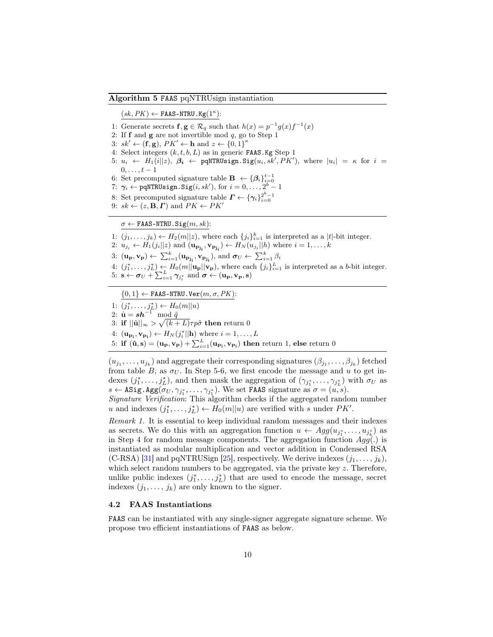# <span id="page-9-0"></span>Algorithm 5 FAAS pqNTRUsign instantiation

 $(sk, PK) \leftarrow$  FAAS-NTRU.  $Kg(1^{\kappa})$ :

- 1: Generate secrets  $f, g \in \mathcal{R}_q$  such that  $h(x) = p^{-1}g(x)f^{-1}(x)$
- 2: If  $f$  and  $g$  are not invertible mod  $q$ , go to Step 1
- 3:  $sk' \leftarrow (\mathbf{f}, \mathbf{g}), PK' \leftarrow \mathbf{h} \text{ and } z \leftarrow \{0, 1\}^{\kappa}$
- 4: Select integers  $(k, t, b, L)$  as in generic FAAS. Kg Step 1
- 5:  $u_i \leftarrow H_1(i||z), \ \beta_i \leftarrow \text{pqNTRUsingn.Sig}(u_i, sk', PK'),$  where  $|u_i| = \kappa$  for  $i =$  $0,\ldots,t-1$
- 6: Set precomputed signature table  $\mathbf{B} \leftarrow {\beta_i}_{i=0}^{t-1}$ <br>7:  $\gamma_i \leftarrow \text{pqNTRUsing}$   $\text{Sig}(i, sk'),$  for  $i = 0, \ldots, 2^b 1$
- 
- 8: Set precomputed signature table  $\Gamma \leftarrow {\{\gamma_i\}}_{i=0}^{2^b-1}$
- 9:  $sk \leftarrow (z, \mathbf{B}, \boldsymbol{\Gamma})$  and  $PK \leftarrow PK'$

 $\sigma \leftarrow$  FAAS-NTRU. Sig $(m, sk)$ :

1:  $(j_1, \ldots, j_k) \leftarrow H_2(m||z)$ , where each  $\{j_i\}_{i=1}^k$  is interpreted as a |t|-bit integer.

- 2:  $u_{j_i} \leftarrow H_1(j_i||z)$  and  $(\mathbf{u}_{\mathbf{p_{j_i}}}, \mathbf{v}_{\mathbf{p_{j_i}}}) \leftarrow H_N(u_{j_i}||h)$  where  $i = 1, ..., k$
- 3:  $(\mathbf{u_p}, \mathbf{v_p}) \leftarrow \sum_{i=1}^k (\mathbf{u_{p_{j_i}}}, \mathbf{v_{p_{j_i}}})$ , and  $\boldsymbol{\sigma}_U \leftarrow \sum_{i=1}^k \beta_i$
- 4:  $(j_1^*, \ldots, j_L^*) \leftarrow H_0(m||\mathbf{u_p}||\mathbf{v_p})$ , where each  $\{j_i\}_{i=1}^L$  is interpreted as a b-bit integer. 5:  $\mathbf{s} \leftarrow \boldsymbol{\sigma}_U + \sum_{i=1}^L \gamma_{j_i^*}$  and  $\boldsymbol{\sigma} \leftarrow (\mathbf{u_p}, \mathbf{v_p}, \mathbf{s})$
- 

 $\{0,1\} \leftarrow$  FAAS-NTRU. Ver $(m, \sigma, PK)$ :

1:  $(j_1^*, \ldots, j_L^*) \leftarrow H_0(m||u)$ 

2:  $\hat{\mathbf{u}} = s\mathbf{h}^{-1} \mod \hat{q}$ 

3: if  $||\hat{\mathbf{u}}||_{\infty} > \sqrt{(k+L)}\tau p\tilde{\sigma}$  then return 0

- 4:  $(\mathbf{u}_{\mathbf{p_i}}, \mathbf{v}_{\mathbf{p_i}}) \leftarrow H_N(j_i^*||\mathbf{h})$  where  $i = 1, ..., L$
- 5: if  $(\hat{\mathbf{u}}, \mathbf{s}) = (\mathbf{u_p}, \mathbf{v_p}) + \sum_{i=1}^{L} (\mathbf{u_{p_i}}, \mathbf{v_{p_i}})$  then return 1, else return 0

 $(u_{j_1},\ldots,u_{j_k})$  and aggregate their corresponding signatures  $(\beta_{j_1},\ldots,\beta_{j_k})$  fetched from table B, as  $\sigma_U$ . In Step 5-6, we first encode the message and u to get indexes  $(j_1^*, \ldots, j_L^*)$ , and then mask the aggregation of  $(\gamma_{j_1^*}, \ldots, \gamma_{j_L^*})$  with  $\sigma_U$  as  $s \leftarrow \texttt{ASig}.\texttt{Agg}(\sigma_U, \gamma_{j_1^*}, \dots, \gamma_{j_1^*}).$  We set FAAS signature as  $\sigma = (u, s).$ 

Signature Verification: This algorithm checks if the aggregated random number u and indexes  $(j_1^*, \ldots, j_L^*) \leftarrow H_0(m||u)$  are verified with s under PK'.

Remark 1. It is essential to keep individual random messages and their indexes as secrets. We do this with an aggregation function  $u \leftarrow Agg(u_{j_1^*}, \ldots, u_{j_k^*})$  as in Step 4 for random message components. The aggregation function  $Agg(.)$  is instantiated as modular multiplication and vector addition in Condensed RSA (C-RSA) [\[31\]](#page-16-4) and pqNTRUSign [\[25\]](#page-16-5), respectively. We derive indexes  $(j_1, \ldots, j_k)$ , which select random numbers to be aggregated, via the private key  $z$ . Therefore, unlike public indexes  $(j_1^*, \ldots, j_L^*)$  that are used to encode the message, secret indexes  $(j_1, \ldots, j_k)$  are only known to the signer.

## 4.2 FAAS Instantiations

FAAS can be instantiated with any single-signer aggregate signature scheme. We propose two efficient instantiations of FAAS as below.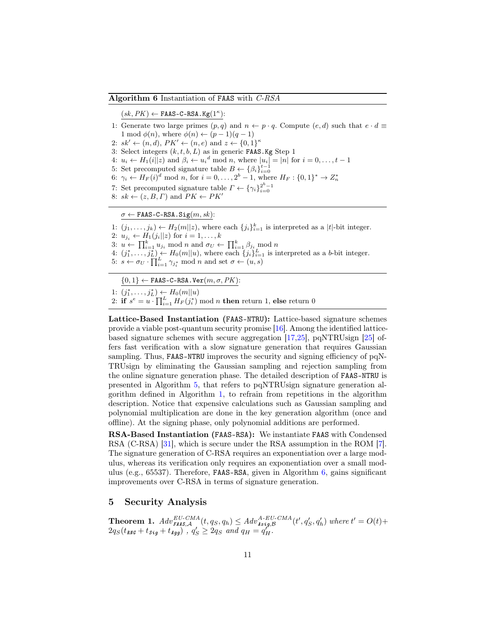#### <span id="page-10-0"></span>Algorithm 6 Instantiation of FAAS with C-RSA

 $(sk, PK) \leftarrow$  FAAS-C-RSA.Kg( $1^{\kappa}$ ):

- 1: Generate two large primes  $(p, q)$  and  $n \leftarrow p \cdot q$ . Compute  $(e, d)$  such that  $e \cdot d \equiv$ 1 mod  $\phi(n)$ , where  $\phi(n) \leftarrow (p-1)(q-1)$
- 2:  $sk' \leftarrow (n, d), PK' \leftarrow (n, e) \text{ and } z \leftarrow \{0, 1\}^{\kappa}$
- 3: Select integers  $(k, t, b, L)$  as in generic FAAS. Kg Step 1
- 4:  $u_i \leftarrow H_1(i||z)$  and  $\beta_i \leftarrow u_i^d \mod n$ , where  $|u_i| = |n|$  for  $i = 0, \ldots, t 1$
- 
- 5: Set precomputed signature table  $B \leftarrow {\beta_i}_{i=0}^{t-1}$ <br>6:  $\gamma_i \leftarrow H_F(i)^d \mod n$ , for  $i = 0, \ldots, 2^b 1$ , where  $H_F : \{0, 1\}^* \rightarrow Z_n^*$
- 7: Set precomputed signature table  $\Gamma \leftarrow {\{\gamma_i\}}_{i=0}^{2^b-1}$
- 8:  $sk \leftarrow (z, B, \Gamma)$  and  $PK \leftarrow PK'$

 $\sigma \leftarrow$  FAAS-C-RSA. Sig $(m, sk)$ :

1:  $(j_1, \ldots, j_k) \leftarrow H_2(m||z)$ , where each  $\{j_i\}_{i=1}^k$  is interpreted as a |t|-bit integer.

- 2:  $u_{j_i} \leftarrow H_1(j_i||z)$  for  $i = 1, \ldots, k$ 3:  $u \leftarrow \prod_{i=1}^{k} u_{j_i} \mod n$  and  $\sigma_U \leftarrow \prod_{i=1}^{k} \beta_{j_i} \mod n$
- 4:  $(j_1^*, \ldots, j_L^*) \leftarrow H_0(m||u)$ , where each  $\{j_i\}_{i=1}^L$  is interpreted as a b-bit integer.
- 5:  $s \leftarrow \sigma_U \cdot \prod_{i=1}^{L} \gamma_{j_i^*} \mod n$  and set  $\sigma \leftarrow (u, s)$
- 

 $\{0,1\} \leftarrow$  FAAS-C-RSA.Ver $(m, \sigma, PK)$ :

1: 
$$
(j_1^*, \ldots, j_L^*) \leftarrow H_0(m||u)
$$

2: if  $s^e = u \cdot \prod_{i=1}^L H_F(j_i^*) \mod n$  then return 1, else return 0

Lattice-Based Instantiation (FAAS-NTRU): Lattice-based signature schemes provide a viable post-quantum security promise [\[16\]](#page-15-9). Among the identified latticebased signature schemes with secure aggregation [\[17,](#page-16-10)[25\]](#page-16-5), pqNTRUsign [\[25\]](#page-16-5) offers fast verification with a slow signature generation that requires Gaussian sampling. Thus, FAAS-NTRU improves the security and signing efficiency of pqN-TRUsign by eliminating the Gaussian sampling and rejection sampling from the online signature generation phase. The detailed description of FAAS-NTRU is presented in Algorithm [5,](#page-9-0) that refers to pqNTRUsign signature generation algorithm defined in Algorithm [1,](#page-4-0) to refrain from repetitions in the algorithm description. Notice that expensive calculations such as Gaussian sampling and polynomial multiplication are done in the key generation algorithm (once and offline). At the signing phase, only polynomial additions are performed.

RSA-Based Instantiation (FAAS-RSA): We instantiate FAAS with Condensed RSA (C-RSA) [\[31\]](#page-16-4), which is secure under the RSA assumption in the ROM [\[7\]](#page-15-12). The signature generation of C-RSA requires an exponentiation over a large modulus, whereas its verification only requires an exponentiation over a small modulus (e.g., 65537). Therefore, FAAS-RSA, given in Algorithm [6,](#page-10-0) gains significant improvements over C-RSA in terms of signature generation.

# 5 Security Analysis

**Theorem 1.**  $Adv_{\text{FALS},\mathcal{A}}^{EU-CMA}(t,q_S,q_h) \leq Adv_{\text{Asig},\mathcal{B}}^{A-EU-CMA}(t',q_S',q_h')$  where  $t' = O(t) +$  $2q_S(t_{\text{RNG}}+t_{\text{Sig}}+t_{\text{Agg}})$ ,  $q_S' \geq 2q_S$  and  $q_H = q_H'$ .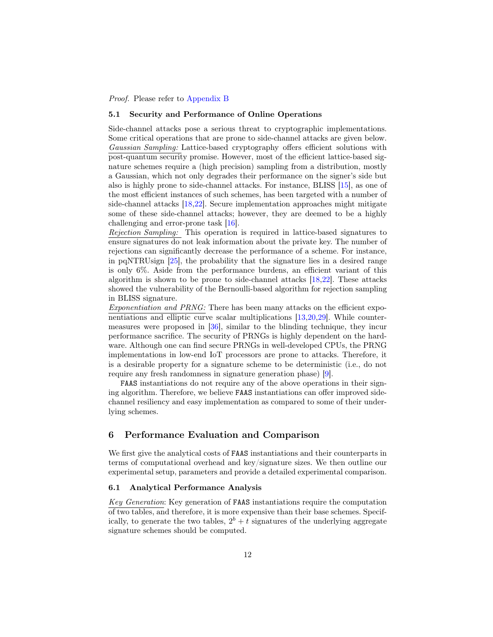Proof. Please refer to [Appendix B](#page-18-0)

### <span id="page-11-0"></span>5.1 Security and Performance of Online Operations

Side-channel attacks pose a serious threat to cryptographic implementations. Some critical operations that are prone to side-channel attacks are given below. Gaussian Sampling: Lattice-based cryptography offers efficient solutions with post-quantum security promise. However, most of the efficient lattice-based signature schemes require a (high precision) sampling from a distribution, mostly a Gaussian, which not only degrades their performance on the signer's side but also is highly prone to side-channel attacks. For instance, BLISS [\[15\]](#page-15-10), as one of the most efficient instances of such schemes, has been targeted with a number of side-channel attacks [\[18,](#page-16-6)[22\]](#page-16-7). Secure implementation approaches might mitigate some of these side-channel attacks; however, they are deemed to be a highly challenging and error-prone task [\[16\]](#page-15-9).

Rejection Sampling: This operation is required in lattice-based signatures to ensure signatures do not leak information about the private key. The number of rejections can significantly decrease the performance of a scheme. For instance, in pqNTRUsign [\[25\]](#page-16-5), the probability that the signature lies in a desired range is only 6%. Aside from the performance burdens, an efficient variant of this algorithm is shown to be prone to side-channel attacks [\[18,](#page-16-6)[22\]](#page-16-7). These attacks showed the vulnerability of the Bernoulli-based algorithm for rejection sampling in BLISS signature.

Exponentiation and PRNG: There has been many attacks on the efficient exponentiations and elliptic curve scalar multiplications [\[13,](#page-15-13)[20,](#page-16-8)[29\]](#page-16-11). While countermeasures were proposed in [\[36\]](#page-17-7), similar to the blinding technique, they incur performance sacrifice. The security of PRNGs is highly dependent on the hardware. Although one can find secure PRNGs in well-developed CPUs, the PRNG implementations in low-end IoT processors are prone to attacks. Therefore, it is a desirable property for a signature scheme to be deterministic (i.e., do not require any fresh randomness in signature generation phase) [\[9\]](#page-15-7).

FAAS instantiations do not require any of the above operations in their signing algorithm. Therefore, we believe FAAS instantiations can offer improved sidechannel resiliency and easy implementation as compared to some of their underlying schemes.

# <span id="page-11-1"></span>6 Performance Evaluation and Comparison

We first give the analytical costs of FAAS instantiations and their counterparts in terms of computational overhead and key/signature sizes. We then outline our experimental setup, parameters and provide a detailed experimental comparison.

### 6.1 Analytical Performance Analysis

Key Generation: Key generation of FAAS instantiations require the computation of two tables, and therefore, it is more expensive than their base schemes. Specifically, to generate the two tables,  $2^b + t$  signatures of the underlying aggregate signature schemes should be computed.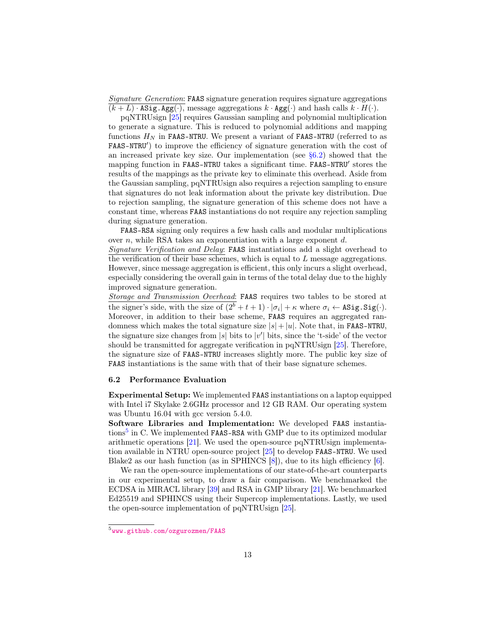Signature Generation: FAAS signature generation requires signature aggregations  $(k+L)$  · ASig. Agg(·), message aggregations  $k \cdot \text{Agg}(\cdot)$  and hash calls  $k \cdot H(\cdot)$ .

pqNTRUsign [\[25\]](#page-16-5) requires Gaussian sampling and polynomial multiplication to generate a signature. This is reduced to polynomial additions and mapping functions  $H_N$  in FAAS-NTRU. We present a variant of FAAS-NTRU (referred to as FAAS-NTRU') to improve the efficiency of signature generation with the cost of an increased private key size. Our implementation (see [§6.2\)](#page-12-0) showed that the mapping function in FAAS-NTRU takes a significant time. FAAS-NTRU' stores the results of the mappings as the private key to eliminate this overhead. Aside from the Gaussian sampling, pqNTRUsign also requires a rejection sampling to ensure that signatures do not leak information about the private key distribution. Due to rejection sampling, the signature generation of this scheme does not have a constant time, whereas FAAS instantiations do not require any rejection sampling during signature generation.

FAAS-RSA signing only requires a few hash calls and modular multiplications over  $n$ , while RSA takes an exponentiation with a large exponent  $d$ .

Signature Verification and Delay: FAAS instantiations add a slight overhead to the verification of their base schemes, which is equal to  $L$  message aggregations. However, since message aggregation is efficient, this only incurs a slight overhead, especially considering the overall gain in terms of the total delay due to the highly improved signature generation.

Storage and Transmission Overhead: FAAS requires two tables to be stored at the signer's side, with the size of  $(2^b + t + 1) \cdot |\sigma_i| + \kappa$  where  $\sigma_i \leftarrow \texttt{ASig.Sig}(\cdot)$ . Moreover, in addition to their base scheme, FAAS requires an aggregated randomness which makes the total signature size  $|s|+|u|$ . Note that, in FAAS-NTRU, the signature size changes from |s| bits to  $|v'|$  bits, since the 't-side' of the vector should be transmitted for aggregate verification in pqNTRUsign [\[25\]](#page-16-5). Therefore, the signature size of FAAS-NTRU increases slightly more. The public key size of FAAS instantiations is the same with that of their base signature schemes.

### <span id="page-12-0"></span>6.2 Performance Evaluation

Experimental Setup: We implemented FAAS instantiations on a laptop equipped with Intel i7 Skylake 2.6GHz processor and 12 GB RAM. Our operating system was Ubuntu 16.04 with gcc version  $5.4.0$ .

Software Libraries and Implementation: We developed FAAS instantia-tions<sup>[5](#page-12-1)</sup> in C. We implemented FAAS-RSA with GMP due to its optimized modular arithmetic operations [\[21\]](#page-16-12). We used the open-source pqNTRUsign implementation available in NTRU open-source project [\[25\]](#page-16-5) to develop FAAS-NTRU. We used Blake2 as our hash function (as in SPHINCS [\[8\]](#page-15-8)), due to its high efficiency [\[6\]](#page-15-14).

We ran the open-source implementations of our state-of-the-art counterparts in our experimental setup, to draw a fair comparison. We benchmarked the ECDSA in MIRACL library [\[39\]](#page-17-8) and RSA in GMP library [\[21\]](#page-16-12). We benchmarked Ed25519 and SPHINCS using their Supercop implementations. Lastly, we used the open-source implementation of pqNTRUsign [\[25\]](#page-16-5).

<span id="page-12-1"></span><sup>&</sup>lt;sup>5</sup><www.github.com/ozgurozmen/FAAS>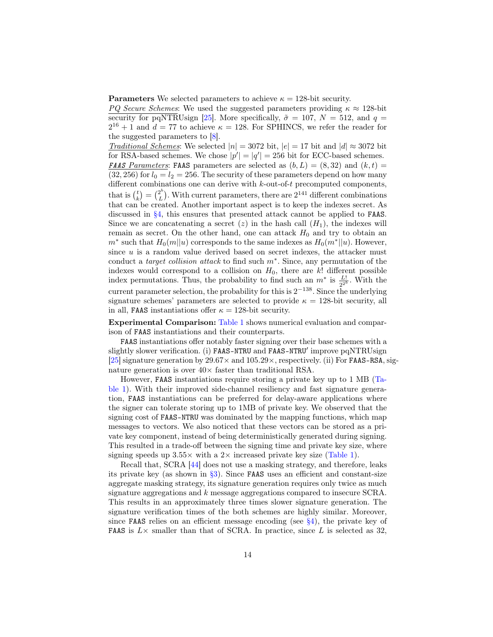**Parameters** We selected parameters to achieve  $\kappa = 128$ -bit security.

PQ Secure Schemes: We used the suggested parameters providing  $\kappa \approx 128$ -bit security for pqNTRUsign [\[25\]](#page-16-5). More specifically,  $\tilde{\sigma} = 107$ ,  $N = 512$ , and  $q =$  $2^{16} + 1$  and  $d = 77$  to achieve  $\kappa = 128$ . For SPHINCS, we refer the reader for the suggested parameters to [\[8\]](#page-15-8).

Traditional Schemes: We selected  $|n| = 3072$  bit,  $|e| = 17$  bit and  $|d| \approx 3072$  bit for RSA-based schemes. We chose  $|p'| = |q'| = 256$  bit for ECC-based schemes. **FAAS** Parameters: FAAS parameters are selected as  $(b, L) = (8, 32)$  and  $(k, t) =$  $(32, 256)$  for  $l_0 = l_2 = 256$ . The security of these parameters depend on how many different combinations one can derive with  $k$ -out-of- $t$  precomputed components, that is  $\binom{t}{k} = \binom{2^b}{L}$  $L<sup>2<sup>o</sup></sup>$ ). With current parameters, there are  $2<sup>141</sup>$  different combinations that can be created. Another important aspect is to keep the indexes secret. As discussed in [§4,](#page-7-2) this ensures that presented attack cannot be applied to FAAS. Since we are concatenating a secret  $(z)$  in the hash call  $(H_1)$ , the indexes will remain as secret. On the other hand, one can attack  $H_0$  and try to obtain an  $m^*$  such that  $H_0(m||u)$  corresponds to the same indexes as  $H_0(m^*||u)$ . However, since  $u$  is a random value derived based on secret indexes, the attacker must conduct a *target collision attack* to find such  $m^*$ . Since, any permutation of the indexes would correspond to a collision on  $H_0$ , there are  $k!$  different possible index permutations. Thus, the probability to find such an  $m^*$  is  $\frac{L!}{2^{2^b}}$ . With the current parameter selection, the probability for this is  $2^{-138}$ . Since the underlying signature schemes' parameters are selected to provide  $\kappa = 128$ -bit security, all in all, FAAS instantiations offer  $\kappa = 128$ -bit security.

Experimental Comparison: [Table 1](#page-2-1) shows numerical evaluation and comparison of FAAS instantiations and their counterparts.

FAAS instantiations offer notably faster signing over their base schemes with a slightly slower verification. (i) FAAS-NTRU and FAAS-NTRU' improve pqNTRUsign [\[25\]](#page-16-5) signature generation by  $29.67 \times$  and  $105.29 \times$ , respectively. (ii) For FAAS-RSA, signature generation is over  $40\times$  faster than traditional RSA.

However, FAAS instantiations require storing a private key up to 1 MB [\(Ta](#page-2-1)[ble 1\)](#page-2-1). With their improved side-channel resiliency and fast signature generation, FAAS instantiations can be preferred for delay-aware applications where the signer can tolerate storing up to 1MB of private key. We observed that the signing cost of FAAS-NTRU was dominated by the mapping functions, which map messages to vectors. We also noticed that these vectors can be stored as a private key component, instead of being deterministically generated during signing. This resulted in a trade-off between the signing time and private key size, where signing speeds up  $3.55\times$  with a 2 $\times$  increased private key size [\(Table 1\)](#page-2-1).

Recall that, SCRA [\[44\]](#page-17-5) does not use a masking strategy, and therefore, leaks its private key (as shown in  $\S3$ ). Since **FAAS** uses an efficient and constant-size aggregate masking strategy, its signature generation requires only twice as much signature aggregations and k message aggregations compared to insecure SCRA. This results in an approximately three times slower signature generation. The signature verification times of the both schemes are highly similar. Moreover, since **FAAS** relies on an efficient message encoding (see  $\S$ 4), the private key of **FAAS** is  $L \times$  smaller than that of SCRA. In practice, since L is selected as 32,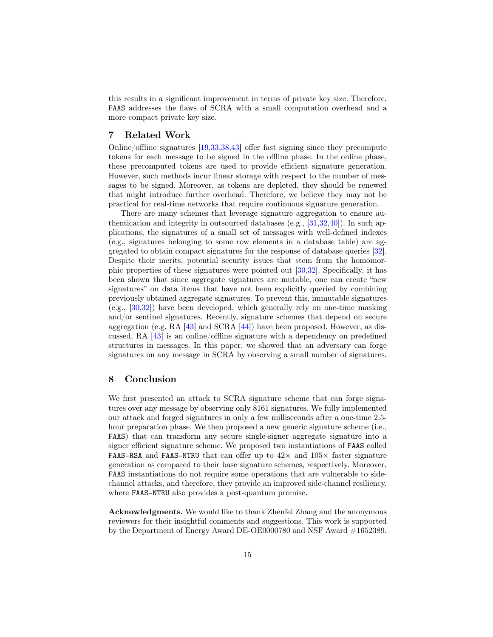this results in a significant improvement in terms of private key size. Therefore, FAAS addresses the flaws of SCRA with a small computation overhead and a more compact private key size.

# 7 Related Work

Online/offline signatures [\[19,](#page-16-13)[33,](#page-17-9)[38,](#page-17-10)[43\]](#page-17-4) offer fast signing since they precompute tokens for each message to be signed in the offline phase. In the online phase, these precomputed tokens are used to provide efficient signature generation. However, such methods incur linear storage with respect to the number of messages to be signed. Moreover, as tokens are depleted, they should be renewed that might introduce further overhead. Therefore, we believe they may not be practical for real-time networks that require continuous signature generation.

There are many schemes that leverage signature aggregation to ensure authentication and integrity in outsourced databases (e.g., [\[31,](#page-16-4)[32,](#page-16-14)[40\]](#page-17-11)). In such applications, the signatures of a small set of messages with well-defined indexes (e.g., signatures belonging to some row elements in a database table) are aggregated to obtain compact signatures for the response of database queries [\[32\]](#page-16-14). Despite their merits, potential security issues that stem from the homomorphic properties of these signatures were pointed out [\[30,](#page-16-15)[32\]](#page-16-14). Specifically, it has been shown that since aggregate signatures are mutable, one can create "new signatures" on data items that have not been explicitly queried by combining previously obtained aggregate signatures. To prevent this, immutable signatures (e.g., [\[30](#page-16-15)[,32\]](#page-16-14)) have been developed, which generally rely on one-time masking and/or sentinel signatures. Recently, signature schemes that depend on secure aggregation (e.g. RA [\[43\]](#page-17-4) and SCRA [\[44\]](#page-17-5)) have been proposed. However, as discussed, RA [\[43\]](#page-17-4) is an online/offline signature with a dependency on predefined structures in messages. In this paper, we showed that an adversary can forge signatures on any message in SCRA by observing a small number of signatures.

# 8 Conclusion

We first presented an attack to SCRA signature scheme that can forge signatures over any message by observing only 8161 signatures. We fully implemented our attack and forged signatures in only a few milliseconds after a one-time 2.5 hour preparation phase. We then proposed a new generic signature scheme (i.e., FAAS) that can transform any secure single-signer aggregate signature into a signer efficient signature scheme. We proposed two instantiations of FAAS called FAAS-RSA and FAAS-NTRU that can offer up to  $42\times$  and  $105\times$  faster signature generation as compared to their base signature schemes, respectively. Moreover, FAAS instantiations do not require some operations that are vulnerable to sidechannel attacks, and therefore, they provide an improved side-channel resiliency, where FAAS-NTRU also provides a post-quantum promise.

Acknowledgments. We would like to thank Zhenfei Zhang and the anonymous reviewers for their insightful comments and suggestions. This work is supported by the Department of Energy Award DE-OE0000780 and NSF Award #1652389.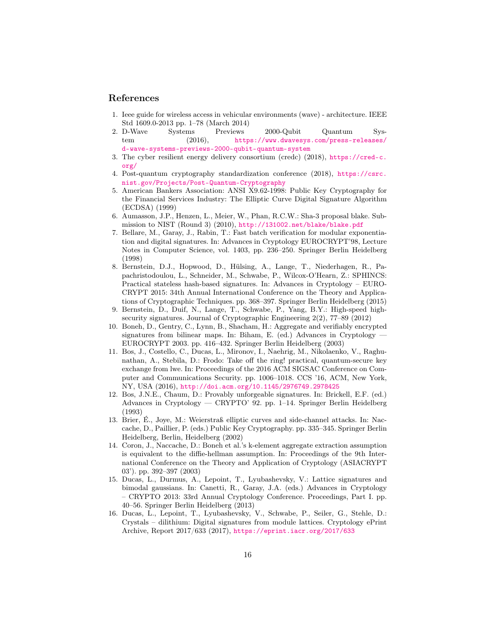# References

- <span id="page-15-0"></span>1. Ieee guide for wireless access in vehicular environments (wave) - architecture. IEEE Std 1609.0-2013 pp. 1–78 (March 2014)
- <span id="page-15-2"></span>2. D-Wave Systems Previews 2000-Qubit Quantum System  $(2016)$ , [https://www.dwavesys.com/press-releases/](https://www.dwavesys.com/press-releases/d-wave-systems-previews-2000-qubit-quantum-system) [d-wave-systems-previews-2000-qubit-quantum-system](https://www.dwavesys.com/press-releases/d-wave-systems-previews-2000-qubit-quantum-system)
- <span id="page-15-4"></span>3. The cyber resilient energy delivery consortium (credc) (2018), [https://cred-c.](https://cred-c.org/) [org/](https://cred-c.org/)
- <span id="page-15-5"></span>4. Post-quantum cryptography standardization conference (2018), [https://csrc.](https://csrc.nist.gov/Projects/Post-Quantum-Cryptography) [nist.gov/Projects/Post-Quantum-Cryptography](https://csrc.nist.gov/Projects/Post-Quantum-Cryptography)
- <span id="page-15-1"></span>5. American Bankers Association: ANSI X9.62-1998: Public Key Cryptography for the Financial Services Industry: The Elliptic Curve Digital Signature Algorithm (ECDSA) (1999)
- <span id="page-15-14"></span>6. Aumasson, J.P., Henzen, L., Meier, W., Phan, R.C.W.: Sha-3 proposal blake. Submission to NIST (Round 3) (2010), <http://131002.net/blake/blake.pdf>
- <span id="page-15-12"></span>7. Bellare, M., Garay, J., Rabin, T.: Fast batch verification for modular exponentiation and digital signatures. In: Advances in Cryptology EUROCRYPT'98, Lecture Notes in Computer Science, vol. 1403, pp. 236–250. Springer Berlin Heidelberg (1998)
- <span id="page-15-8"></span>8. Bernstein, D.J., Hopwood, D., Hülsing, A., Lange, T., Niederhagen, R., Papachristodoulou, L., Schneider, M., Schwabe, P., Wilcox-O'Hearn, Z.: SPHINCS: Practical stateless hash-based signatures. In: Advances in Cryptology – EURO-CRYPT 2015: 34th Annual International Conference on the Theory and Applications of Cryptographic Techniques. pp. 368–397. Springer Berlin Heidelberg (2015)
- <span id="page-15-7"></span>9. Bernstein, D., Duif, N., Lange, T., Schwabe, P., Yang, B.Y.: High-speed highsecurity signatures. Journal of Cryptographic Engineering 2(2), 77–89 (2012)
- <span id="page-15-6"></span>10. Boneh, D., Gentry, C., Lynn, B., Shacham, H.: Aggregate and verifiably encrypted signatures from bilinear maps. In: Biham, E. (ed.) Advances in Cryptology  $-$ EUROCRYPT 2003. pp. 416–432. Springer Berlin Heidelberg (2003)
- <span id="page-15-3"></span>11. Bos, J., Costello, C., Ducas, L., Mironov, I., Naehrig, M., Nikolaenko, V., Raghunathan, A., Stebila, D.: Frodo: Take off the ring! practical, quantum-secure key exchange from lwe. In: Proceedings of the 2016 ACM SIGSAC Conference on Computer and Communications Security. pp. 1006–1018. CCS '16, ACM, New York, NY, USA (2016), <http://doi.acm.org/10.1145/2976749.2978425>
- <span id="page-15-11"></span>12. Bos, J.N.E., Chaum, D.: Provably unforgeable signatures. In: Brickell, E.F. (ed.) Advances in Cryptology — CRYPTO' 92. pp. 1–14. Springer Berlin Heidelberg (1993)
- <span id="page-15-13"></span>13. Brier, É., Joye, M.: Weierstraß elliptic curves and side-channel attacks. In: Naccache, D., Paillier, P. (eds.) Public Key Cryptography. pp. 335–345. Springer Berlin Heidelberg, Berlin, Heidelberg (2002)
- <span id="page-15-15"></span>14. Coron, J., Naccache, D.: Boneh et al.'s k-element aggregate extraction assumption is equivalent to the diffie-hellman assumption. In: Proceedings of the 9th International Conference on the Theory and Application of Cryptology (ASIACRYPT 03'). pp. 392–397 (2003)
- <span id="page-15-10"></span>15. Ducas, L., Durmus, A., Lepoint, T., Lyubashevsky, V.: Lattice signatures and bimodal gaussians. In: Canetti, R., Garay, J.A. (eds.) Advances in Cryptology – CRYPTO 2013: 33rd Annual Cryptology Conference. Proceedings, Part I. pp. 40–56. Springer Berlin Heidelberg (2013)
- <span id="page-15-9"></span>16. Ducas, L., Lepoint, T., Lyubashevsky, V., Schwabe, P., Seiler, G., Stehle, D.: Crystals – dilithium: Digital signatures from module lattices. Cryptology ePrint Archive, Report 2017/633 (2017), <https://eprint.iacr.org/2017/633>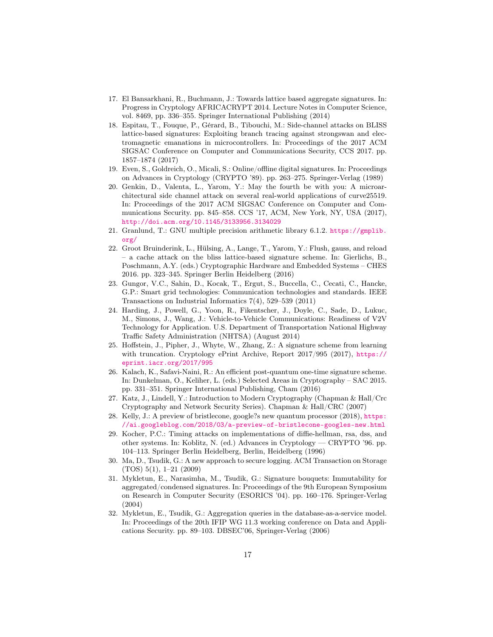- <span id="page-16-10"></span>17. El Bansarkhani, R., Buchmann, J.: Towards lattice based aggregate signatures. In: Progress in Cryptology AFRICACRYPT 2014. Lecture Notes in Computer Science, vol. 8469, pp. 336–355. Springer International Publishing (2014)
- <span id="page-16-6"></span>18. Espitau, T., Fouque, P., Gérard, B., Tibouchi, M.: Side-channel attacks on BLISS lattice-based signatures: Exploiting branch tracing against strongswan and electromagnetic emanations in microcontrollers. In: Proceedings of the 2017 ACM SIGSAC Conference on Computer and Communications Security, CCS 2017. pp. 1857–1874 (2017)
- <span id="page-16-13"></span>19. Even, S., Goldreich, O., Micali, S.: Online/offline digital signatures. In: Proceedings on Advances in Cryptology (CRYPTO '89). pp. 263–275. Springer-Verlag (1989)
- <span id="page-16-8"></span>20. Genkin, D., Valenta, L., Yarom, Y.: May the fourth be with you: A microarchitectural side channel attack on several real-world applications of curve25519. In: Proceedings of the 2017 ACM SIGSAC Conference on Computer and Communications Security. pp. 845–858. CCS '17, ACM, New York, NY, USA (2017), <http://doi.acm.org/10.1145/3133956.3134029>
- <span id="page-16-12"></span>21. Granlund, T.: GNU multiple precision arithmetic library 6.1.2. [https://gmplib.](https://gmplib.org/) [org/](https://gmplib.org/)
- <span id="page-16-7"></span>22. Groot Bruinderink, L., Hülsing, A., Lange, T., Yarom, Y.: Flush, gauss, and reload – a cache attack on the bliss lattice-based signature scheme. In: Gierlichs, B., Poschmann, A.Y. (eds.) Cryptographic Hardware and Embedded Systems – CHES 2016. pp. 323–345. Springer Berlin Heidelberg (2016)
- <span id="page-16-0"></span>23. Gungor, V.C., Sahin, D., Kocak, T., Ergut, S., Buccella, C., Cecati, C., Hancke, G.P.: Smart grid technologies: Communication technologies and standards. IEEE Transactions on Industrial Informatics 7(4), 529–539 (2011)
- <span id="page-16-1"></span>24. Harding, J., Powell, G., Yoon, R., Fikentscher, J., Doyle, C., Sade, D., Lukuc, M., Simons, J., Wang, J.: Vehicle-to-Vehicle Communications: Readiness of V2V Technology for Application. U.S. Department of Transportation National Highway Traffic Safety Administration (NHTSA) (August 2014)
- <span id="page-16-5"></span>25. Hoffstein, J., Pipher, J., Whyte, W., Zhang, Z.: A signature scheme from learning with truncation. Cryptology ePrint Archive, Report 2017/995 (2017), [https://](https://eprint.iacr.org/2017/995) [eprint.iacr.org/2017/995](https://eprint.iacr.org/2017/995)
- <span id="page-16-3"></span>26. Kalach, K., Safavi-Naini, R.: An efficient post-quantum one-time signature scheme. In: Dunkelman, O., Keliher, L. (eds.) Selected Areas in Cryptography – SAC 2015. pp. 331–351. Springer International Publishing, Cham (2016)
- <span id="page-16-9"></span>27. Katz, J., Lindell, Y.: Introduction to Modern Cryptography (Chapman & Hall/Crc Cryptography and Network Security Series). Chapman & Hall/CRC (2007)
- <span id="page-16-2"></span>28. Kelly, J.: A preview of bristlecone, google?s new quantum processor (2018), [https:](https://ai.googleblog.com/2018/03/a-preview-of-bristlecone-googles-new.html) [//ai.googleblog.com/2018/03/a-preview-of-bristlecone-googles-new.html](https://ai.googleblog.com/2018/03/a-preview-of-bristlecone-googles-new.html)
- <span id="page-16-11"></span>29. Kocher, P.C.: Timing attacks on implementations of diffie-hellman, rsa, dss, and other systems. In: Koblitz, N. (ed.) Advances in Cryptology — CRYPTO '96. pp. 104–113. Springer Berlin Heidelberg, Berlin, Heidelberg (1996)
- <span id="page-16-15"></span>30. Ma, D., Tsudik, G.: A new approach to secure logging. ACM Transaction on Storage (TOS) 5(1), 1–21 (2009)
- <span id="page-16-4"></span>31. Mykletun, E., Narasimha, M., Tsudik, G.: Signature bouquets: Immutability for aggregated/condensed signatures. In: Proceedings of the 9th European Symposium on Research in Computer Security (ESORICS '04). pp. 160–176. Springer-Verlag (2004)
- <span id="page-16-14"></span>32. Mykletun, E., Tsudik, G.: Aggregation queries in the database-as-a-service model. In: Proceedings of the 20th IFIP WG 11.3 working conference on Data and Applications Security. pp. 89–103. DBSEC'06, Springer-Verlag (2006)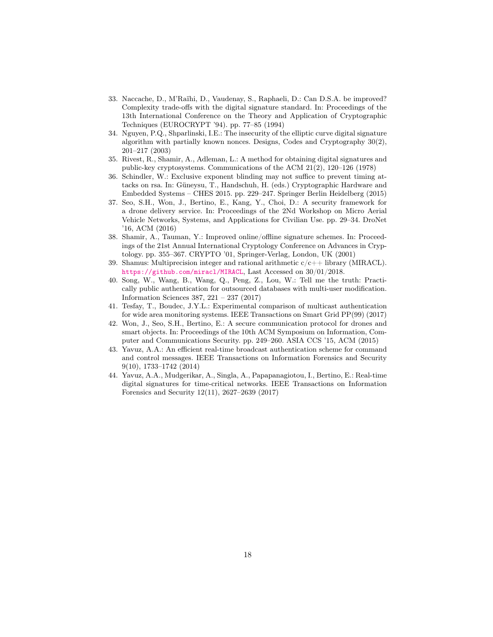- <span id="page-17-9"></span>33. Naccache, D., M'Raïhi, D., Vaudenay, S., Raphaeli, D.: Can D.S.A. be improved? Complexity trade-offs with the digital signature standard. In: Proceedings of the 13th International Conference on the Theory and Application of Cryptographic Techniques (EUROCRYPT '94). pp. 77–85 (1994)
- <span id="page-17-6"></span>34. Nguyen, P.Q., Shparlinski, I.E.: The insecurity of the elliptic curve digital signature algorithm with partially known nonces. Designs, Codes and Cryptography 30(2), 201–217 (2003)
- <span id="page-17-3"></span>35. Rivest, R., Shamir, A., Adleman, L.: A method for obtaining digital signatures and public-key cryptosystems. Communications of the ACM 21(2), 120–126 (1978)
- <span id="page-17-7"></span>36. Schindler, W.: Exclusive exponent blinding may not suffice to prevent timing attacks on rsa. In: Güneysu, T., Handschuh, H. (eds.) Cryptographic Hardware and Embedded Systems – CHES 2015. pp. 229–247. Springer Berlin Heidelberg (2015)
- <span id="page-17-1"></span>37. Seo, S.H., Won, J., Bertino, E., Kang, Y., Choi, D.: A security framework for a drone delivery service. In: Proceedings of the 2Nd Workshop on Micro Aerial Vehicle Networks, Systems, and Applications for Civilian Use. pp. 29–34. DroNet '16, ACM (2016)
- <span id="page-17-10"></span>38. Shamir, A., Tauman, Y.: Improved online/offline signature schemes. In: Proceedings of the 21st Annual International Cryptology Conference on Advances in Cryptology. pp. 355–367. CRYPTO '01, Springer-Verlag, London, UK (2001)
- <span id="page-17-8"></span>39. Shamus: Multiprecision integer and rational arithmetic  $c/c++$  library (MIRACL). <https://github.com/miracl/MIRACL>, Last Accessed on 30/01/2018.
- <span id="page-17-11"></span>40. Song, W., Wang, B., Wang, Q., Peng, Z., Lou, W.: Tell me the truth: Practically public authentication for outsourced databases with multi-user modification. Information Sciences 387, 221 – 237 (2017)
- <span id="page-17-0"></span>41. Tesfay, T., Boudec, J.Y.L.: Experimental comparison of multicast authentication for wide area monitoring systems. IEEE Transactions on Smart Grid PP(99) (2017)
- <span id="page-17-2"></span>42. Won, J., Seo, S.H., Bertino, E.: A secure communication protocol for drones and smart objects. In: Proceedings of the 10th ACM Symposium on Information, Computer and Communications Security. pp. 249–260. ASIA CCS '15, ACM (2015)
- <span id="page-17-4"></span>43. Yavuz, A.A.: An efficient real-time broadcast authentication scheme for command and control messages. IEEE Transactions on Information Forensics and Security 9(10), 1733–1742 (2014)
- <span id="page-17-5"></span>44. Yavuz, A.A., Mudgerikar, A., Singla, A., Papapanagiotou, I., Bertino, E.: Real-time digital signatures for time-critical networks. IEEE Transactions on Information Forensics and Security 12(11), 2627–2639 (2017)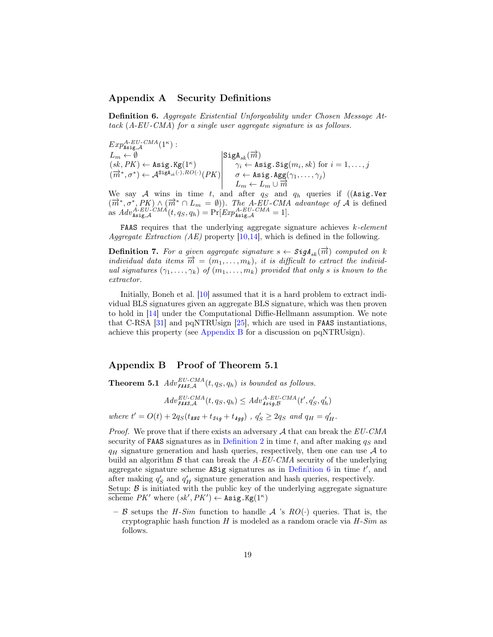# Appendix A Security Definitions

<span id="page-18-1"></span>Definition 6. Aggregate Existential Unforgeability under Chosen Message Attack (A-EU -CMA) for a single user aggregate signature is as follows.

 $Exp^{A-EU-CMA}_{\text{Asig},\mathcal{A}}(1^{\kappa}):$  $L_m \leftarrow \emptyset$  SigA<sub>sk</sub>( $\overrightarrow{m}$ )  $(sk, PK) \leftarrow \texttt{Asig.Kg}(1^{\kappa})$   $\gamma_i \leftarrow \texttt{Asig.Sig}(m_i, sk)$  for  $i = 1, ..., j$  $(\overrightarrow{m}^*, \sigma^*) \leftarrow \mathcal{A}^{\text{SigA}_{sk}(\cdot), RO(\cdot)}(PK) \qquad \sigma \leftarrow \text{Asig.Agg}(\gamma_1, \ldots, \gamma_j)$  $L_m \leftarrow L_m \cup \overline{m}$ 

We say A wins in time t, and after  $q_S$  and  $q_h$  queries if ((Asig.Ver  $(\vec{m}^*, \sigma^*, PK) \wedge (\vec{m}^* \cap L_m = \emptyset)$ . The A-EU-CMA advantage of A is defined as  $Adv_{\text{Asig},\mathcal{A}}^{A-EU-CMA}(t, q_S, q_h) = Pr[Exp_{\text{Asig},\mathcal{A}}^{A-EU-CMA} = 1].$ 

**FAAS** requires that the underlying aggregate signature achieves  $k$ -element Aggregate Extraction (AE) property [\[10](#page-15-6)[,14\]](#page-15-15), which is defined in the following.

<span id="page-18-2"></span>**Definition 7.** For a given aggregate signature  $s \leftarrow \mathcal{S}igA_{sk}(\overrightarrow{m})$  computed on k individual data items  $\vec{m} = (m_1, \ldots, m_k)$ , it is difficult to extract the individual signatures  $(\gamma_1, \ldots, \gamma_k)$  of  $(m_1, \ldots, m_k)$  provided that only s is known to the extractor.

Initially, Boneh et al. [\[10\]](#page-15-6) assumed that it is a hard problem to extract individual BLS signatures given an aggregate BLS signature, which was then proven to hold in [\[14\]](#page-15-15) under the Computational Diffie-Hellmann assumption. We note that C-RSA [\[31\]](#page-16-4) and pqNTRUsign [\[25\]](#page-16-5), which are used in FAAS instantiations, achieve this property (see [Appendix B](#page-18-0) for a discussion on pqNTRUsign).

# <span id="page-18-0"></span>Appendix B Proof of Theorem 5.1

**Theorem 5.1**  $Adv_{\text{FALS},A}^{EU-CMA}(t, q_S, q_h)$  is bounded as follows.

$$
Adv_{\text{FALS},\mathcal{A}}^{EU-CMA}(t,q_S,q_h) \leq Adv_{\text{Asig},\mathcal{B}}^{A-EU-CMA}(t',q_S',q_h')
$$

where  $t' = O(t) + 2q_S(t_{\text{RNG}} + t_{\text{Sig}} + t_{\text{Agg}})$ ,  $q_S' \geq 2q_S$  and  $q_H = q_H'$ .

*Proof.* We prove that if there exists an adversary  $A$  that can break the  $EU\text{-}CMA$ security of FAAS signatures as in [Definition 2](#page-3-0) in time t, and after making  $q<sub>S</sub>$  and  $q_H$  signature generation and hash queries, respectively, then one can use A to build an algorithm  $\beta$  that can break the A-EU-CMA security of the underlying aggregate signature scheme  $\Delta Sig$  signatures as in [Definition 6](#page-18-1) in time  $t'$ , and after making  $q'_{S}$  and  $q'_{H}$  signature generation and hash queries, respectively. Setup:  $\beta$  is initiated with the public key of the underlying aggregate signature

 $\overline{\text{scheme }}$   $PK'$  where  $(\textit{sk}', \textit{PK}') \leftarrow \texttt{Asig.Kg}(1^\kappa)$ 

– B setups the H-Sim function to handle A 's  $RO(\cdot)$  queries. That is, the cryptographic hash function  $H$  is modeled as a random oracle via  $H$ -Sim as follows.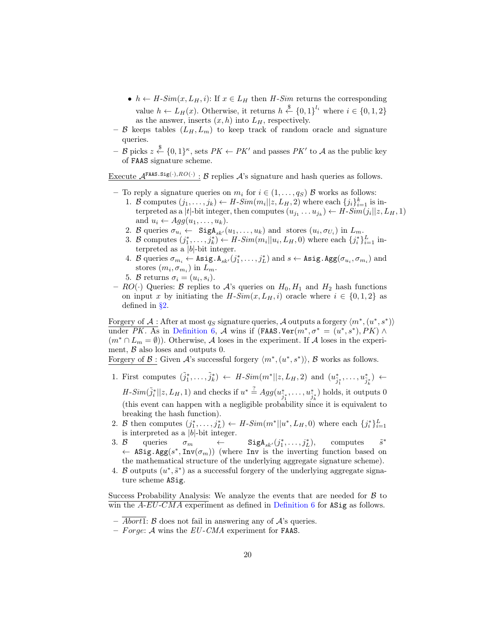- $h \leftarrow H\text{-}Sim(x, L_H, i)$ : If  $x \in L_H$  then H-Sim returns the corresponding value  $h \leftarrow L_H(x)$ . Otherwise, it returns  $h \stackrel{\$}{\leftarrow} \{0,1\}^{l_i}$  where  $i \in \{0,1,2\}$ as the answer, inserts  $(x, h)$  into  $L_H$ , respectively.
- B keeps tables  $(L_H, L_m)$  to keep track of random oracle and signature queries.
- $-$  B picks  $z \stackrel{\$}{\leftarrow} \{0,1\}^{\kappa}$ , sets  $PK \leftarrow PK'$  and passes  $PK'$  to A as the public key of FAAS signature scheme.

Execute  $\mathcal{A}^{\text{FARS.Sig(\cdot),RO(\cdot)}}: \mathcal{B}$  replies  $\mathcal{A}$ 's signature and hash queries as follows.

- To reply a signature queries on  $m_i$  for  $i \in (1, \ldots, q_s)$   $\beta$  works as follows:
	- 1. B computes  $(j_1, \ldots, j_k) \leftarrow H\text{-}Sim(m_i || z, L_H, 2)$  where each  $\{j_i\}_{i=1}^k$  is interpreted as a |t|-bit integer, then computes  $(u_{j_1} \ldots u_{j_k}) \leftarrow H\text{-}Sim(j_i||z, L_H, 1)$ and  $u_i \leftarrow Agg(u_1, \ldots, u_k)$ .
	- 2. B queries  $\sigma_{u_i} \leftarrow \text{SigA}_{sk'}(u_1, \ldots, u_k)$  and stores  $(u_i, \sigma_{U_i})$  in  $L_m$ .
	- 3. B computes  $(j_1^*, \ldots, j_k^*) \leftarrow H\text{-}Sim(m_i||u_i, L_H, 0)$  where each  $\{j_i^*\}_{i=1}^L$  interpreted as a  $|b|$ -bit integer.
	- 4. B queries  $\sigma_{m_i} \leftarrow \texttt{Asig.A}_{sk'}(j_1^*, \ldots, j_L^*)$  and  $s \leftarrow \texttt{Asig.Agg}(\sigma_{u_i}, \sigma_{m_i})$  and stores  $(m_i, \sigma_{m_i})$  in  $L_m$ .
	- 5. B returns  $\sigma_i = (u_i, s_i)$ .
- $RO(\cdot)$  Queries: B replies to A's queries on  $H_0, H_1$  and  $H_2$  hash functions on input x by initiating the  $H-Sim(x, L_H, i)$  oracle where  $i \in \{0, 1, 2\}$  as defined in [§2.](#page-3-1)

Forgery of  $\mathcal{A}$  : After at most  $q_S$  signature queries,  $\mathcal{A}$  outputs a forgery  $\langle m^*, (u^*, s^*) \rangle$ under PK. As in [Definition 6,](#page-18-1) A wins if  $(FAAS-Ver(m^*,\sigma^* = (u^*,s^*), PK) \wedge$  $(m^* \cap L_m = \emptyset)$ ). Otherwise, A loses in the experiment. If A loses in the experiment,  $\beta$  also loses and outputs 0.

Forgery of B: Given A's successful forgery  $\langle m^*, (u^*, s^*) \rangle$ , B works as follows.

<span id="page-19-0"></span>1. First computes  $(\tilde{j}_1^*,..., \tilde{j}_k^*) \leftarrow H\text{-}Sim(m^*||z, L_H, 2)$  and  $(u_{\tilde{j}_1^*}^*,..., u_{\tilde{j}_k}^*) \leftarrow$ 

 $H\text{-}Sim(\tilde{j}_i^*||z, L_H, 1)$  and checks if  $u^* \stackrel{?}{=} Agg(u_{\tilde{j}_1^*}^*, \ldots, u_{\tilde{j}_k^*}^*)$  holds, it outputs 0 (this event can happen with a negligible probability since it is equivalent to breaking the hash function).

- 2. B then computes  $(j_1^*, \ldots, j_L^*) \leftarrow H\text{-}Sim(m^*||u^*, L_H, 0)$  where each  $\{j_i^*\}_{i=1}^L$ is interpreted as a  $|b|$ -bit integer.
- 3. B queries  $\sigma_m$   $\leftarrow$  SigA<sub>sk'</sub> $(j_1^*, \ldots, j_L^*)$ , computes  $\tilde{s}^*$ ← ASig.Agg $(s^*, Inv(\sigma_m))$  (where Inv is the inverting function based on the mathematical structure of the underlying aggregate signature scheme).
- 4. B outputs  $(u^*, \tilde{s}^*)$  as a successful forgery of the underlying aggregate signature scheme ASig.

Success Probability Analysis: We analyze the events that are needed for  $\beta$  to win the  $A$ -EU-CMA experiment as defined in [Definition 6](#page-18-1) for ASig as follows.

- $\overline{Abort1}$ :  $\beta$  does not fail in answering any of  $\mathcal{A}$ 's queries.
- Forge: A wins the  $EU\text{-}CMA$  experiment for FAAS.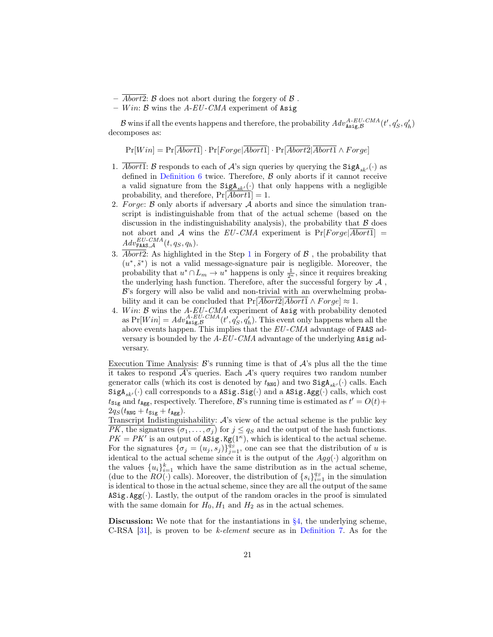- $\overline{Abort2}$ :  $\beta$  does not abort during the forgery of  $\beta$ .
- Win:  $\beta$  wins the A-EU-CMA experiment of Asig

B wins if all the events happens and therefore, the probability  $Adv_{\mathbf{Asig},\mathcal{B}}^{A-EU-CMA}(t', q_S', q_h')$ decomposes as:

 $Pr[Win] = Pr[\overline{Abort1}] \cdot Pr[Forge|\overline{Abort1}] \cdot Pr[\overline{Abort2}|\overline{Abort1} \wedge Forge]$ 

- 1. Abort1: B responds to each of A's sign queries by querying the  $\text{SigA}_{sk'}(\cdot)$  as defined in Definition  $6$  twice. Therefore,  $\beta$  only aborts if it cannot receive a valid signature from the  $\text{SigA}_{sk'}(\cdot)$  that only happens with a negligible probability, and therefore,  $Pr[Abort1] = 1$ .
- 2. Forge:  $\beta$  only aborts if adversary  $\mathcal A$  aborts and since the simulation transcript is indistinguishable from that of the actual scheme (based on the discussion in the indistinguishability analysis), the probability that  $\beta$  does not abort and A wins the EU-CMA experiment is  $Pr[Forge|Abort1] =$  $Adv_{\texttt{FAAS}, \mathcal{A}}^{EU-CMA}(t, q_S, q_h).$
- 3. Abort2: As highlighted in the Step [1](#page-19-0) in Forgery of  $\beta$ , the probability that  $(u^*, \tilde{s}^*)$  is not a valid message-signature pair is negligible. Moreover, the probability that  $u^* \cap L_m \to u^*$  happens is only  $\frac{1}{2^k}$ , since it requires breaking the underlying hash function. Therefore, after the successful forgery by  $A$ , B's forgery will also be valid and non-trivial with an overwhelming probability and it can be concluded that  $Pr[\overline{Abort2}|\overline{Abort1} \wedge Forge] \approx 1$ .
- 4. Win:  $\beta$  wins the A-EU-CMA experiment of Asig with probability denoted as  $Pr[Win] = Adv_{\mathbf{Asig}, \mathcal{B}}^{A-EU-CMA}(t', q'_{\mathcal{S}}, q'_{h}).$  This event only happens when all the above events happen. This implies that the  $EU\text{-}CMA$  advantage of FAAS adversary is bounded by the  $A$ -EU-CMA advantage of the underlying Asig adversary.

Execution Time Analysis:  $\mathcal{B}'$ 's running time is that of  $\mathcal{A}'$ 's plus all the the time it takes to respond  $\mathcal{A}$ 's queries. Each  $\mathcal{A}$ 's query requires two random number generator calls (which its cost is denoted by  $t_{\text{RNG}}$ ) and two  $\text{SigA}_{sk'}(\cdot)$  calls. Each  $SigA_{sk'}(\cdot)$  call corresponds to a  $\text{ASig.Sig}(\cdot)$  and a  $\text{ASig.Agg}(\cdot)$  calls, which cost  $t_{\text{Sig}}$  and  $t_{\text{Agg}}$ , respectively. Therefore,  $\mathcal{B}$ 's running time is estimated as  $t' = O(t) +$  $2q_S(t_{\rm RNG}+t_{\rm Sig}+t_{\rm Agg}).$ 

Transcript Indistinguishability:  $A$ 's view of the actual scheme is the public key  $\overline{PK}$ , the signatures  $(\sigma_1, \ldots, \sigma_j)$  for  $j \leq q_S$  and the output of the hash functions.  $PK = PK'$  is an output of  $\text{ASig.Kg}(1^{\kappa})$ , which is identical to the actual scheme. For the signatures  $\{\sigma_j = (u_j, s_j)\}_{j=1}^{q_s}$ , one can see that the distribution of u is identical to the actual scheme since it is the output of the  $Agg(\cdot)$  algorithm on the values  ${u_i}_{i=1}^k$  which have the same distribution as in the actual scheme, (due to the  $RO(\cdot)$  calls). Moreover, the distribution of  $\{s_i\}_{i=1}^{q_S}$  in the simulation is identical to those in the actual scheme, since they are all the output of the same  $\texttt{ASig}.Agg(\cdot)$ . Lastly, the output of the random oracles in the proof is simulated with the same domain for  $H_0, H_1$  and  $H_2$  as in the actual schemes.

**Discussion:** We note that for the instantiations in  $\S4$ , the underlying scheme, C-RSA [\[31\]](#page-16-4), is proven to be k-element secure as in [Definition 7.](#page-18-2) As for the